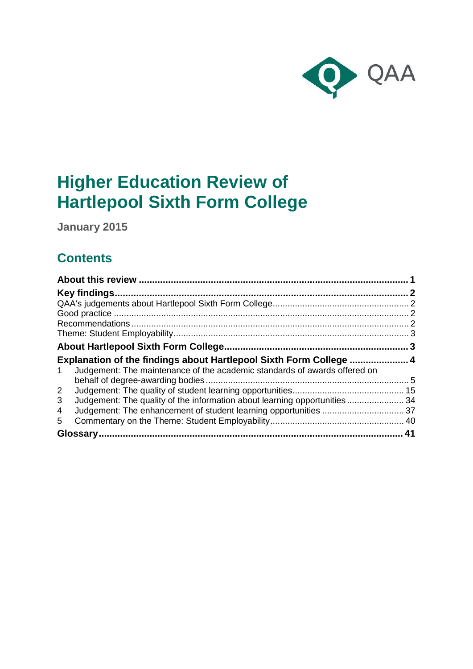

# **Higher Education Review of Hartlepool Sixth Form College**

**January 2015**

# **Contents**

| Key findings.                                                                  |    |
|--------------------------------------------------------------------------------|----|
|                                                                                |    |
|                                                                                |    |
|                                                                                |    |
|                                                                                |    |
|                                                                                |    |
| Explanation of the findings about Hartlepool Sixth Form College  4             |    |
| Judgement: The maintenance of the academic standards of awards offered on<br>1 |    |
|                                                                                |    |
| $\mathbf{2}$                                                                   |    |
| Judgement: The quality of the information about learning opportunities 34<br>3 |    |
| 4                                                                              |    |
| 5                                                                              |    |
|                                                                                | 41 |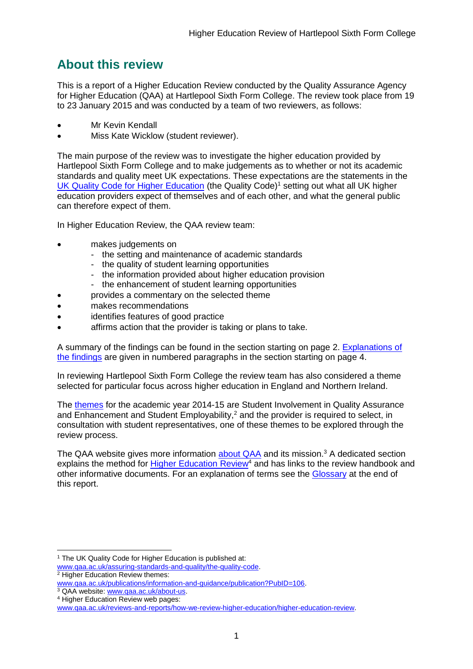# <span id="page-1-0"></span>**About this review**

This is a report of a Higher Education Review conducted by the Quality Assurance Agency for Higher Education (QAA) at Hartlepool Sixth Form College. The review took place from 19 to 23 January 2015 and was conducted by a team of two reviewers, as follows:

- Mr Kevin Kendall
- Miss Kate Wicklow (student reviewer).

The main purpose of the review was to investigate the higher education provided by Hartlepool Sixth Form College and to make judgements as to whether or not its academic standards and quality meet UK expectations. These expectations are the statements in the [UK Quality Code for Higher Education](http://www.qaa.ac.uk/assuring-standards-and-quality/the-quality-code) (the Quality Code)<sup>1</sup> setting out what all UK higher [education providers](http://newlive.qaa.ac.uk/AboutUs/glossary/Pages/glossary-h.aspx#h2.1) expect of themselves and of each other, and what the general public can therefore expect of them.

In Higher Education Review, the QAA review team:

- makes judgements on
	- the setting and maintenance of academic standards
	- the quality of student learning opportunities
	- the information provided about higher education provision
	- the enhancement of student learning opportunities
- provides a commentary on the selected theme
- makes recommendations
- identifies features of good practice
- affirms action that the provider is taking or plans to take.

A summary of the findings can be found in the section starting on page 2. [Explanations of](#page-3-2)  [the findings](#page-3-2) are given in numbered paragraphs in the section starting on page 4.

In reviewing Hartlepool Sixth Form College the review team has also considered a theme selected for particular focus across higher education in England and Northern Ireland.

The [themes](http://www.qaa.ac.uk/publications/information-and-guidance/publication?PubID=106) for the academic year 2014-15 are Student Involvement in Quality Assurance and Enhancement and Student Employability,<sup>2</sup> and the provider is required to select, in consultation with student representatives, one of these themes to be explored through the review process.

The QAA website gives more information [about QAA](http://www.qaa.ac.uk/aboutus/pages/default.aspx) and its mission.<sup>3</sup> A dedicated section explains the method for **Higher Education Review<sup>4</sup>** and has links to the review handbook and other informative documents. For an explanation of terms see the [Glossary](#page-41-0) at the end of this report.

<sup>-</sup><sup>1</sup> The UK Quality Code for Higher Education is published at:

[www.qaa.ac.uk/assuring-standards-and-quality/the-quality-code.](http://www.qaa.ac.uk/assuring-standards-and-quality/the-quality-code) <sup>2</sup> Higher Education Review themes:

[www.qaa.ac.uk/publications/information-and-guidance/publication?PubID=106.](http://www.qaa.ac.uk/publications/information-and-guidance/publication?PubID=106)

<sup>&</sup>lt;sup>3</sup> QAA website: [www.qaa.ac.uk/about-us.](http://www.qaa.ac.uk/about-us)

<sup>4</sup> Higher Education Review web pages:

[www.qaa.ac.uk/reviews-and-reports/how-we-review-higher-education/higher-education-review.](http://www.qaa.ac.uk/reviews-and-reports/how-we-review-higher-education/higher-education-review)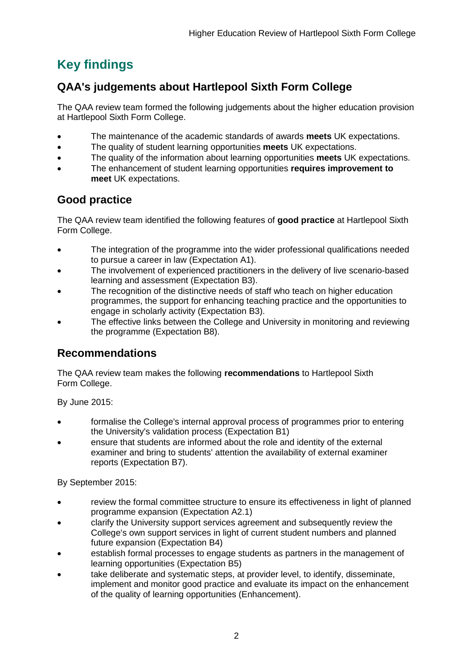# <span id="page-2-0"></span>**Key findings**

# <span id="page-2-1"></span>**QAA's judgements about Hartlepool Sixth Form College**

The QAA review team formed the following judgements about the higher education provision at Hartlepool Sixth Form College.

- The maintenance of the academic standards of awards **meets** UK expectations.
- The quality of student learning opportunities **meets** UK expectations.
- The quality of the information about learning opportunities **meets** UK expectations.
- The enhancement of student learning opportunities **requires improvement to meet** UK expectations.

# <span id="page-2-2"></span>**Good practice**

The QAA review team identified the following features of **good practice** at Hartlepool Sixth Form College.

- The integration of the programme into the wider professional qualifications needed to pursue a career in law (Expectation A1).
- The involvement of experienced practitioners in the delivery of live scenario-based learning and assessment (Expectation B3).
- The recognition of the distinctive needs of staff who teach on higher education programmes, the support for enhancing teaching practice and the opportunities to engage in scholarly activity (Expectation B3).
- The effective links between the College and University in monitoring and reviewing the programme (Expectation B8).

# <span id="page-2-3"></span>**Recommendations**

The QAA review team makes the following **recommendations** to Hartlepool Sixth Form College.

By June 2015:

- formalise the College's internal approval process of programmes prior to entering the University's validation process (Expectation B1)
- ensure that students are informed about the role and identity of the external examiner and bring to students' attention the availability of external examiner reports (Expectation B7).

By September 2015:

- review the formal committee structure to ensure its effectiveness in light of planned programme expansion (Expectation A2.1)
- clarify the University support services agreement and subsequently review the College's own support services in light of current student numbers and planned future expansion (Expectation B4)
- establish formal processes to engage students as partners in the management of learning opportunities (Expectation B5)
- take deliberate and systematic steps, at provider level, to identify, disseminate, implement and monitor good practice and evaluate its impact on the enhancement of the quality of learning opportunities (Enhancement).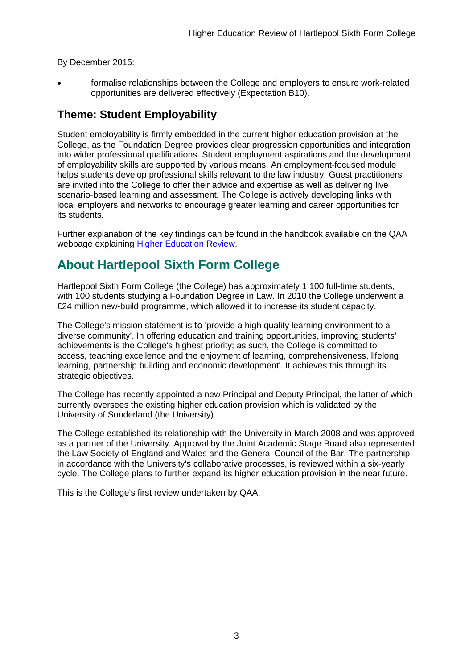By December 2015:

 formalise relationships between the College and employers to ensure work-related opportunities are delivered effectively (Expectation B10).

# <span id="page-3-0"></span>**Theme: Student Employability**

Student employability is firmly embedded in the current higher education provision at the College, as the Foundation Degree provides clear progression opportunities and integration into wider professional qualifications. Student employment aspirations and the development of employability skills are supported by various means. An employment-focused module helps students develop professional skills relevant to the law industry. Guest practitioners are invited into the College to offer their advice and expertise as well as delivering live scenario-based learning and assessment. The College is actively developing links with local employers and networks to encourage greater learning and career opportunities for its students.

Further explanation of the key findings can be found in the handbook available on the QAA webpage explaining [Higher Education Review.](http://www.qaa.ac.uk/reviews-and-reports/how-we-review-higher-education/higher-education-review)

# <span id="page-3-1"></span>**About Hartlepool Sixth Form College**

Hartlepool Sixth Form College (the College) has approximately 1,100 full-time students, with 100 students studying a Foundation Degree in Law. In 2010 the College underwent a £24 million new-build programme, which allowed it to increase its student capacity.

The College's mission statement is to 'provide a high quality learning environment to a diverse community'. In offering education and training opportunities, improving students' achievements is the College's highest priority; as such, the College is committed to access, teaching excellence and the enjoyment of learning, comprehensiveness, lifelong learning, partnership building and economic development'. It achieves this through its strategic objectives.

The College has recently appointed a new Principal and Deputy Principal, the latter of which currently oversees the existing higher education provision which is validated by the University of Sunderland (the University).

The College established its relationship with the University in March 2008 and was approved as a partner of the University. Approval by the Joint Academic Stage Board also represented the Law Society of England and Wales and the General Council of the Bar. The partnership, in accordance with the University's collaborative processes, is reviewed within a six-yearly cycle. The College plans to further expand its higher education provision in the near future.

<span id="page-3-2"></span>This is the College's first review undertaken by QAA.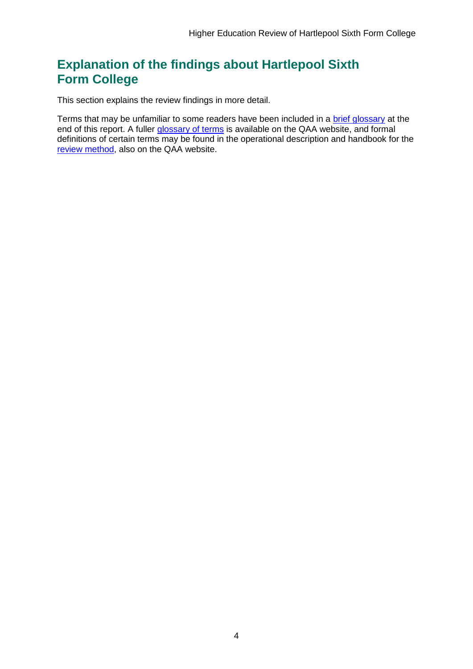# <span id="page-4-0"></span>**Explanation of the findings about Hartlepool Sixth Form College**

This section explains the review findings in more detail.

Terms that may be unfamiliar to some readers have been included in a [brief glossary](#page-41-0) at the end of this report. A fuller [glossary of terms](http://www.qaa.ac.uk/Pages/GlossaryEN.aspx) is available on the QAA website, and formal definitions of certain terms may be found in the operational description and handbook for the [review method,](http://www.qaa.ac.uk/reviews-and-reports/how-we-review-higher-education/higher-education-review) also on the QAA website.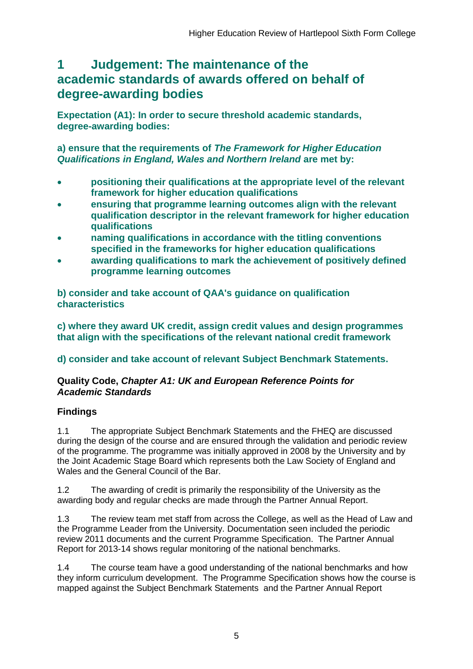# <span id="page-5-0"></span>**1 Judgement: The maintenance of the academic standards of awards offered on behalf of degree-awarding bodies**

**Expectation (A1): In order to secure threshold academic standards, degree-awarding bodies:** 

**a) ensure that the requirements of** *The Framework for Higher Education Qualifications in England, Wales and Northern Ireland* **are met by:**

- **positioning their qualifications at the appropriate level of the relevant framework for higher education qualifications**
- **ensuring that programme learning outcomes align with the relevant qualification descriptor in the relevant framework for higher education qualifications**
- **naming qualifications in accordance with the titling conventions specified in the frameworks for higher education qualifications**
- **awarding qualifications to mark the achievement of positively defined programme learning outcomes**

**b) consider and take account of QAA's guidance on qualification characteristics** 

**c) where they award UK credit, assign credit values and design programmes that align with the specifications of the relevant national credit framework** 

# **d) consider and take account of relevant Subject Benchmark Statements.**

### **Quality Code,** *Chapter A1: UK and European Reference Points for Academic Standards*

# **Findings**

1.1 The appropriate Subject Benchmark Statements and the FHEQ are discussed during the design of the course and are ensured through the validation and periodic review of the programme. The programme was initially approved in 2008 by the University and by the Joint Academic Stage Board which represents both the Law Society of England and Wales and the General Council of the Bar.

1.2 The awarding of credit is primarily the responsibility of the University as the awarding body and regular checks are made through the Partner Annual Report.

1.3 The review team met staff from across the College, as well as the Head of Law and the Programme Leader from the University. Documentation seen included the periodic review 2011 documents and the current Programme Specification. The Partner Annual Report for 2013-14 shows regular monitoring of the national benchmarks.

1.4 The course team have a good understanding of the national benchmarks and how they inform curriculum development. The Programme Specification shows how the course is mapped against the Subject Benchmark Statements and the Partner Annual Report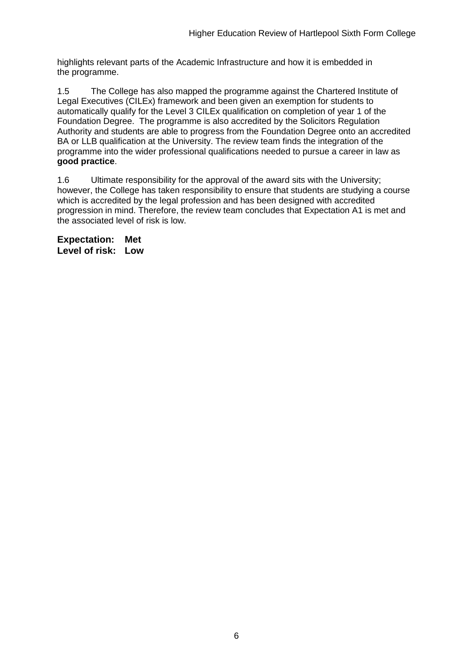highlights relevant parts of the Academic Infrastructure and how it is embedded in the programme.

1.5 The College has also mapped the programme against the Chartered Institute of Legal Executives (CILEx) framework and been given an exemption for students to automatically qualify for the Level 3 CILEx qualification on completion of year 1 of the Foundation Degree. The programme is also accredited by the Solicitors Regulation Authority and students are able to progress from the Foundation Degree onto an accredited BA or LLB qualification at the University. The review team finds the integration of the programme into the wider professional qualifications needed to pursue a career in law as **good practice**.

1.6 Ultimate responsibility for the approval of the award sits with the University; however, the College has taken responsibility to ensure that students are studying a course which is accredited by the legal profession and has been designed with accredited progression in mind. Therefore, the review team concludes that Expectation A1 is met and the associated level of risk is low.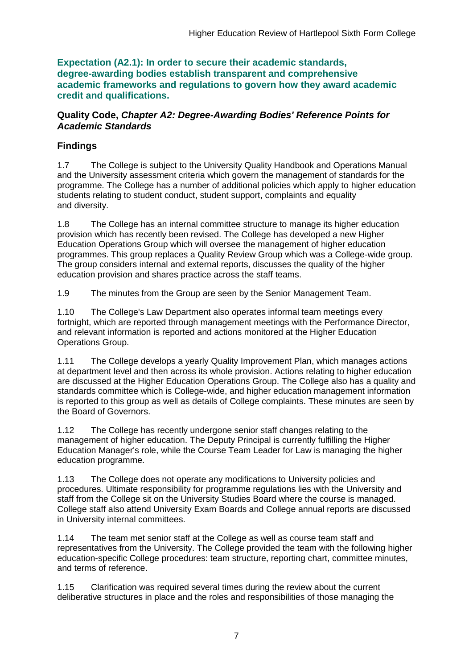**Expectation (A2.1): In order to secure their academic standards, degree-awarding bodies establish transparent and comprehensive academic frameworks and regulations to govern how they award academic credit and qualifications.**

### **Quality Code,** *Chapter A2: Degree-Awarding Bodies' Reference Points for Academic Standards*

# **Findings**

1.7 The College is subject to the University Quality Handbook and Operations Manual and the University assessment criteria which govern the management of standards for the programme. The College has a number of additional policies which apply to higher education students relating to student conduct, student support, complaints and equality and diversity.

1.8 The College has an internal committee structure to manage its higher education provision which has recently been revised. The College has developed a new Higher Education Operations Group which will oversee the management of higher education programmes. This group replaces a Quality Review Group which was a College-wide group. The group considers internal and external reports, discusses the quality of the higher education provision and shares practice across the staff teams.

1.9 The minutes from the Group are seen by the Senior Management Team.

1.10 The College's Law Department also operates informal team meetings every fortnight, which are reported through management meetings with the Performance Director, and relevant information is reported and actions monitored at the Higher Education Operations Group.

1.11 The College develops a yearly Quality Improvement Plan, which manages actions at department level and then across its whole provision. Actions relating to higher education are discussed at the Higher Education Operations Group. The College also has a quality and standards committee which is College-wide, and higher education management information is reported to this group as well as details of College complaints. These minutes are seen by the Board of Governors.

1.12 The College has recently undergone senior staff changes relating to the management of higher education. The Deputy Principal is currently fulfilling the Higher Education Manager's role, while the Course Team Leader for Law is managing the higher education programme.

1.13 The College does not operate any modifications to University policies and procedures. Ultimate responsibility for programme regulations lies with the University and staff from the College sit on the University Studies Board where the course is managed. College staff also attend University Exam Boards and College annual reports are discussed in University internal committees.

1.14 The team met senior staff at the College as well as course team staff and representatives from the University. The College provided the team with the following higher education-specific College procedures: team structure, reporting chart, committee minutes, and terms of reference.

1.15 Clarification was required several times during the review about the current deliberative structures in place and the roles and responsibilities of those managing the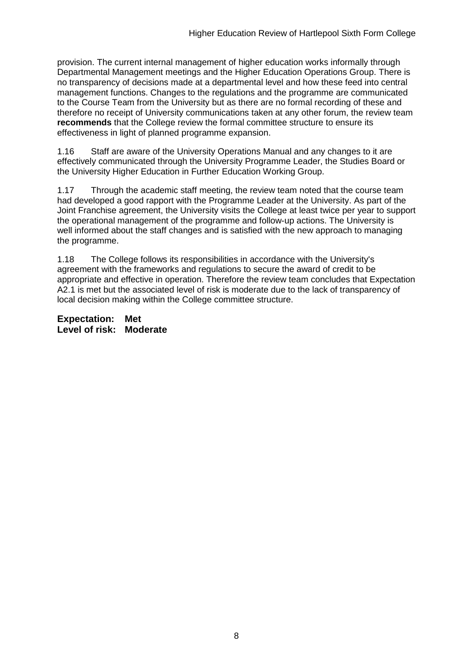provision. The current internal management of higher education works informally through Departmental Management meetings and the Higher Education Operations Group. There is no transparency of decisions made at a departmental level and how these feed into central management functions. Changes to the regulations and the programme are communicated to the Course Team from the University but as there are no formal recording of these and therefore no receipt of University communications taken at any other forum, the review team **recommends** that the College review the formal committee structure to ensure its effectiveness in light of planned programme expansion.

1.16 Staff are aware of the University Operations Manual and any changes to it are effectively communicated through the University Programme Leader, the Studies Board or the University Higher Education in Further Education Working Group.

1.17 Through the academic staff meeting, the review team noted that the course team had developed a good rapport with the Programme Leader at the University. As part of the Joint Franchise agreement, the University visits the College at least twice per year to support the operational management of the programme and follow-up actions. The University is well informed about the staff changes and is satisfied with the new approach to managing the programme.

1.18 The College follows its responsibilities in accordance with the University's agreement with the frameworks and regulations to secure the award of credit to be appropriate and effective in operation. Therefore the review team concludes that Expectation A2.1 is met but the associated level of risk is moderate due to the lack of transparency of local decision making within the College committee structure.

**Expectation: Met Level of risk: Moderate**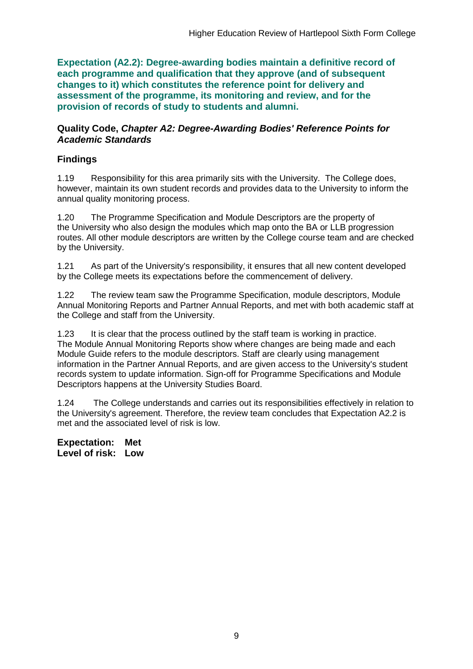**Expectation (A2.2): Degree-awarding bodies maintain a definitive record of each programme and qualification that they approve (and of subsequent changes to it) which constitutes the reference point for delivery and assessment of the programme, its monitoring and review, and for the provision of records of study to students and alumni.** 

#### **Quality Code,** *Chapter A2: Degree-Awarding Bodies' Reference Points for Academic Standards*

### **Findings**

1.19 Responsibility for this area primarily sits with the University.The College does, however, maintain its own student records and provides data to the University to inform the annual quality monitoring process.

1.20 The Programme Specification and Module Descriptors are the property of the University who also design the modules which map onto the BA or LLB progression routes. All other module descriptors are written by the College course team and are checked by the University.

1.21 As part of the University's responsibility, it ensures that all new content developed by the College meets its expectations before the commencement of delivery.

1.22 The review team saw the Programme Specification, module descriptors, Module Annual Monitoring Reports and Partner Annual Reports, and met with both academic staff at the College and staff from the University.

1.23 It is clear that the process outlined by the staff team is working in practice. The Module Annual Monitoring Reports show where changes are being made and each Module Guide refers to the module descriptors. Staff are clearly using management information in the Partner Annual Reports, and are given access to the University's student records system to update information. Sign-off for Programme Specifications and Module Descriptors happens at the University Studies Board.

1.24 The College understands and carries out its responsibilities effectively in relation to the University's agreement. Therefore, the review team concludes that Expectation A2.2 is met and the associated level of risk is low.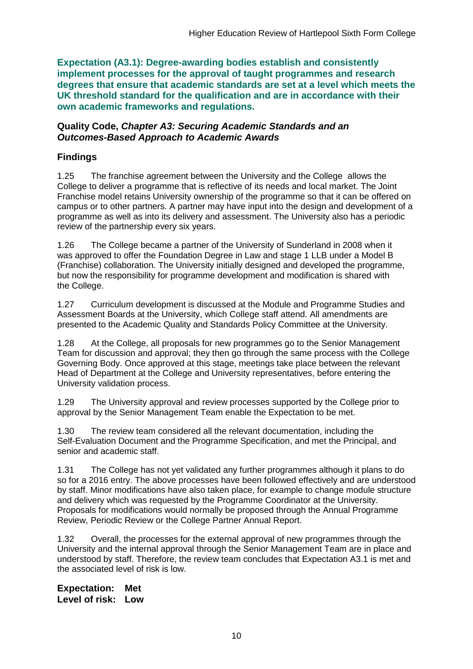**Expectation (A3.1): Degree-awarding bodies establish and consistently implement processes for the approval of taught programmes and research degrees that ensure that academic standards are set at a level which meets the UK threshold standard for the qualification and are in accordance with their own academic frameworks and regulations.**

#### **Quality Code,** *Chapter A3: Securing Academic Standards and an Outcomes-Based Approach to Academic Awards*

## **Findings**

1.25 The franchise agreement between the University and the College allows the College to deliver a programme that is reflective of its needs and local market. The Joint Franchise model retains University ownership of the programme so that it can be offered on campus or to other partners. A partner may have input into the design and development of a programme as well as into its delivery and assessment. The University also has a periodic review of the partnership every six years.

1.26 The College became a partner of the University of Sunderland in 2008 when it was approved to offer the Foundation Degree in Law and stage 1 LLB under a Model B (Franchise) collaboration. The University initially designed and developed the programme, but now the responsibility for programme development and modification is shared with the College.

1.27 Curriculum development is discussed at the Module and Programme Studies and Assessment Boards at the University, which College staff attend. All amendments are presented to the Academic Quality and Standards Policy Committee at the University.

1.28 At the College, all proposals for new programmes go to the Senior Management Team for discussion and approval; they then go through the same process with the College Governing Body. Once approved at this stage, meetings take place between the relevant Head of Department at the College and University representatives, before entering the University validation process.

1.29 The University approval and review processes supported by the College prior to approval by the Senior Management Team enable the Expectation to be met.

1.30 The review team considered all the relevant documentation, including the Self-Evaluation Document and the Programme Specification, and met the Principal, and senior and academic staff.

1.31 The College has not yet validated any further programmes although it plans to do so for a 2016 entry. The above processes have been followed effectively and are understood by staff. Minor modifications have also taken place, for example to change module structure and delivery which was requested by the Programme Coordinator at the University. Proposals for modifications would normally be proposed through the Annual Programme Review, Periodic Review or the College Partner Annual Report.

1.32 Overall, the processes for the external approval of new programmes through the University and the internal approval through the Senior Management Team are in place and understood by staff. Therefore, the review team concludes that Expectation A3.1 is met and the associated level of risk is low.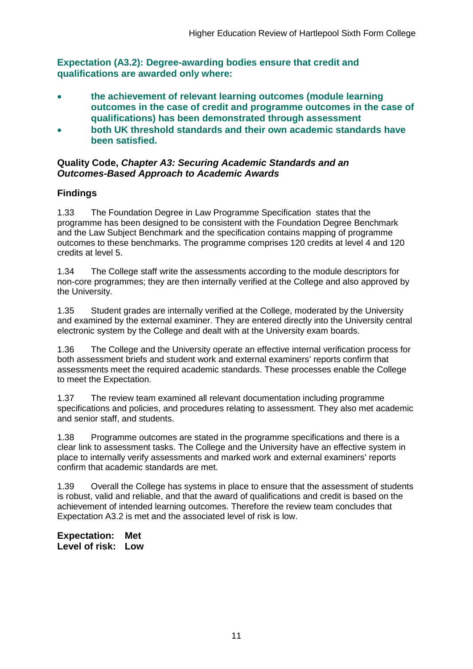**Expectation (A3.2): Degree-awarding bodies ensure that credit and qualifications are awarded only where:** 

- **the achievement of relevant learning outcomes (module learning outcomes in the case of credit and programme outcomes in the case of qualifications) has been demonstrated through assessment**
- **both UK threshold standards and their own academic standards have been satisfied.**

#### **Quality Code,** *Chapter A3: Securing Academic Standards and an Outcomes-Based Approach to Academic Awards*

# **Findings**

1.33 The Foundation Degree in Law Programme Specification states that the programme has been designed to be consistent with the Foundation Degree Benchmark and the Law Subject Benchmark and the specification contains mapping of programme outcomes to these benchmarks. The programme comprises 120 credits at level 4 and 120 credits at level 5.

1.34 The College staff write the assessments according to the module descriptors for non-core programmes; they are then internally verified at the College and also approved by the University.

1.35 Student grades are internally verified at the College, moderated by the University and examined by the external examiner. They are entered directly into the University central electronic system by the College and dealt with at the University exam boards.

1.36 The College and the University operate an effective internal verification process for both assessment briefs and student work and external examiners' reports confirm that assessments meet the required academic standards. These processes enable the College to meet the Expectation.

1.37 The review team examined all relevant documentation including programme specifications and policies, and procedures relating to assessment. They also met academic and senior staff, and students.

1.38 Programme outcomes are stated in the programme specifications and there is a clear link to assessment tasks. The College and the University have an effective system in place to internally verify assessments and marked work and external examiners' reports confirm that academic standards are met.

1.39 Overall the College has systems in place to ensure that the assessment of students is robust, valid and reliable, and that the award of qualifications and credit is based on the achievement of intended learning outcomes. Therefore the review team concludes that Expectation A3.2 is met and the associated level of risk is low.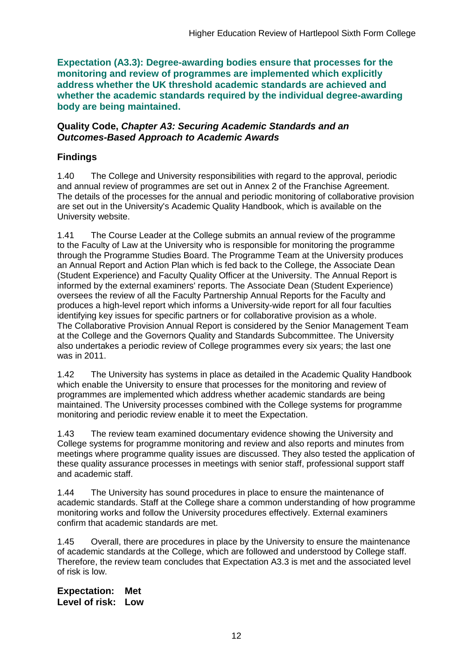**Expectation (A3.3): Degree-awarding bodies ensure that processes for the monitoring and review of programmes are implemented which explicitly address whether the UK threshold academic standards are achieved and whether the academic standards required by the individual degree-awarding body are being maintained.**

#### **Quality Code,** *Chapter A3: Securing Academic Standards and an Outcomes-Based Approach to Academic Awards*

# **Findings**

1.40 The College and University responsibilities with regard to the approval, periodic and annual review of programmes are set out in Annex 2 of the Franchise Agreement. The details of the processes for the annual and periodic monitoring of collaborative provision are set out in the University's Academic Quality Handbook, which is available on the University website.

1.41 The Course Leader at the College submits an annual review of the programme to the Faculty of Law at the University who is responsible for monitoring the programme through the Programme Studies Board. The Programme Team at the University produces an Annual Report and Action Plan which is fed back to the College, the Associate Dean (Student Experience) and Faculty Quality Officer at the University. The Annual Report is informed by the external examiners' reports. The Associate Dean (Student Experience) oversees the review of all the Faculty Partnership Annual Reports for the Faculty and produces a high-level report which informs a University-wide report for all four faculties identifying key issues for specific partners or for collaborative provision as a whole. The Collaborative Provision Annual Report is considered by the Senior Management Team at the College and the Governors Quality and Standards Subcommittee. The University also undertakes a periodic review of College programmes every six years; the last one was in 2011.

1.42 The University has systems in place as detailed in the Academic Quality Handbook which enable the University to ensure that processes for the monitoring and review of programmes are implemented which address whether academic standards are being maintained. The University processes combined with the College systems for programme monitoring and periodic review enable it to meet the Expectation.

1.43 The review team examined documentary evidence showing the University and College systems for programme monitoring and review and also reports and minutes from meetings where programme quality issues are discussed. They also tested the application of these quality assurance processes in meetings with senior staff, professional support staff and academic staff.

1.44 The University has sound procedures in place to ensure the maintenance of academic standards. Staff at the College share a common understanding of how programme monitoring works and follow the University procedures effectively. External examiners confirm that academic standards are met.

1.45 Overall, there are procedures in place by the University to ensure the maintenance of academic standards at the College, which are followed and understood by College staff. Therefore, the review team concludes that Expectation A3.3 is met and the associated level of risk is low.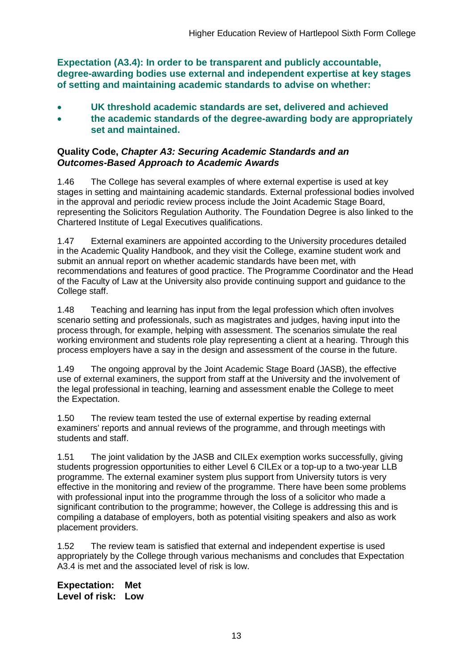**Expectation (A3.4): In order to be transparent and publicly accountable, degree-awarding bodies use external and independent expertise at key stages of setting and maintaining academic standards to advise on whether:**

- **UK threshold academic standards are set, delivered and achieved**
- **the academic standards of the degree-awarding body are appropriately set and maintained.**

### **Quality Code,** *Chapter A3: Securing Academic Standards and an Outcomes-Based Approach to Academic Awards*

1.46 The College has several examples of where external expertise is used at key stages in setting and maintaining academic standards. External professional bodies involved in the approval and periodic review process include the Joint Academic Stage Board, representing the Solicitors Regulation Authority. The Foundation Degree is also linked to the Chartered Institute of Legal Executives qualifications.

1.47 External examiners are appointed according to the University procedures detailed in the Academic Quality Handbook, and they visit the College, examine student work and submit an annual report on whether academic standards have been met, with recommendations and features of good practice. The Programme Coordinator and the Head of the Faculty of Law at the University also provide continuing support and guidance to the College staff.

1.48 Teaching and learning has input from the legal profession which often involves scenario setting and professionals, such as magistrates and judges, having input into the process through, for example, helping with assessment. The scenarios simulate the real working environment and students role play representing a client at a hearing. Through this process employers have a say in the design and assessment of the course in the future.

1.49 The ongoing approval by the Joint Academic Stage Board (JASB), the effective use of external examiners, the support from staff at the University and the involvement of the legal professional in teaching, learning and assessment enable the College to meet the Expectation.

1.50 The review team tested the use of external expertise by reading external examiners' reports and annual reviews of the programme, and through meetings with students and staff.

1.51 The joint validation by the JASB and CILEx exemption works successfully, giving students progression opportunities to either Level 6 CILEx or a top-up to a two-year LLB programme. The external examiner system plus support from University tutors is very effective in the monitoring and review of the programme. There have been some problems with professional input into the programme through the loss of a solicitor who made a significant contribution to the programme; however, the College is addressing this and is compiling a database of employers, both as potential visiting speakers and also as work placement providers.

1.52 The review team is satisfied that external and independent expertise is used appropriately by the College through various mechanisms and concludes that Expectation A3.4 is met and the associated level of risk is low.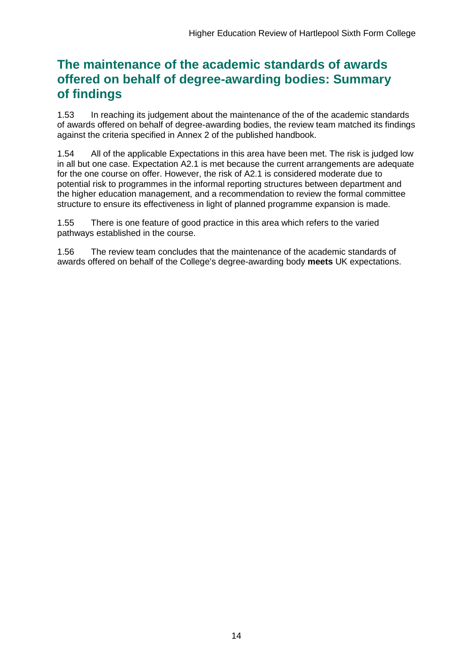# **The maintenance of the academic standards of awards offered on behalf of degree-awarding bodies: Summary of findings**

1.53 In reaching its judgement about the maintenance of the of the academic standards of awards offered on behalf of degree-awarding bodies, the review team matched its findings against the criteria specified in Annex 2 of the published handbook.

1.54 All of the applicable Expectations in this area have been met. The risk is judged low in all but one case. Expectation A2.1 is met because the current arrangements are adequate for the one course on offer. However, the risk of A2.1 is considered moderate due to potential risk to programmes in the informal reporting structures between department and the higher education management, and a recommendation to review the formal committee structure to ensure its effectiveness in light of planned programme expansion is made.

1.55 There is one feature of good practice in this area which refers to the varied pathways established in the course.

1.56 The review team concludes that the maintenance of the academic standards of awards offered on behalf of the College's degree-awarding body **meets** UK expectations.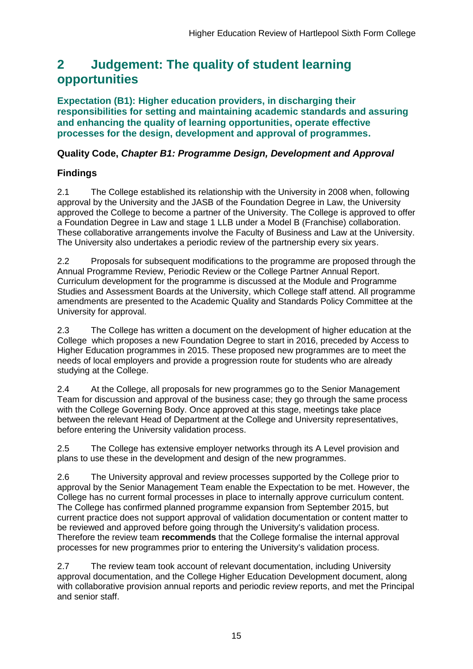# <span id="page-15-0"></span>**2 Judgement: The quality of student learning opportunities**

**Expectation (B1): Higher education providers, in discharging their responsibilities for setting and maintaining academic standards and assuring and enhancing the quality of learning opportunities, operate effective processes for the design, development and approval of programmes.**

### **Quality Code,** *Chapter B1: Programme Design, Development and Approval*

# **Findings**

2.1 The College established its relationship with the University in 2008 when, following approval by the University and the JASB of the Foundation Degree in Law, the University approved the College to become a partner of the University. The College is approved to offer a Foundation Degree in Law and stage 1 LLB under a Model B (Franchise) collaboration. These collaborative arrangements involve the Faculty of Business and Law at the University. The University also undertakes a periodic review of the partnership every six years.

2.2 Proposals for subsequent modifications to the programme are proposed through the Annual Programme Review, Periodic Review or the College Partner Annual Report. Curriculum development for the programme is discussed at the Module and Programme Studies and Assessment Boards at the University, which College staff attend. All programme amendments are presented to the Academic Quality and Standards Policy Committee at the University for approval.

2.3 The College has written a document on the development of higher education at the College which proposes a new Foundation Degree to start in 2016, preceded by Access to Higher Education programmes in 2015. These proposed new programmes are to meet the needs of local employers and provide a progression route for students who are already studying at the College.

2.4 At the College, all proposals for new programmes go to the Senior Management Team for discussion and approval of the business case; they go through the same process with the College Governing Body. Once approved at this stage, meetings take place between the relevant Head of Department at the College and University representatives, before entering the University validation process.

2.5 The College has extensive employer networks through its A Level provision and plans to use these in the development and design of the new programmes.

2.6 The University approval and review processes supported by the College prior to approval by the Senior Management Team enable the Expectation to be met. However, the College has no current formal processes in place to internally approve curriculum content. The College has confirmed planned programme expansion from September 2015, but current practice does not support approval of validation documentation or content matter to be reviewed and approved before going through the University's validation process. Therefore the review team **recommends** that the College formalise the internal approval processes for new programmes prior to entering the University's validation process.

2.7 The review team took account of relevant documentation, including University approval documentation, and the College Higher Education Development document, along with collaborative provision annual reports and periodic review reports, and met the Principal and senior staff.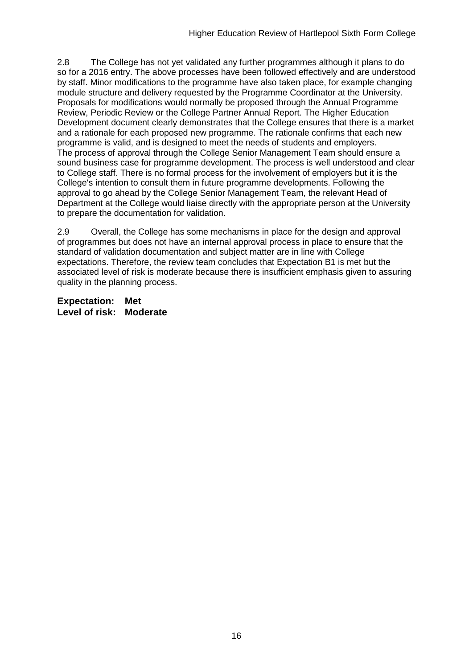2.8 The College has not yet validated any further programmes although it plans to do so for a 2016 entry. The above processes have been followed effectively and are understood by staff. Minor modifications to the programme have also taken place, for example changing module structure and delivery requested by the Programme Coordinator at the University. Proposals for modifications would normally be proposed through the Annual Programme Review, Periodic Review or the College Partner Annual Report. The Higher Education Development document clearly demonstrates that the College ensures that there is a market and a rationale for each proposed new programme. The rationale confirms that each new programme is valid, and is designed to meet the needs of students and employers. The process of approval through the College Senior Management Team should ensure a sound business case for programme development. The process is well understood and clear to College staff. There is no formal process for the involvement of employers but it is the College's intention to consult them in future programme developments. Following the approval to go ahead by the College Senior Management Team, the relevant Head of Department at the College would liaise directly with the appropriate person at the University to prepare the documentation for validation.

2.9 Overall, the College has some mechanisms in place for the design and approval of programmes but does not have an internal approval process in place to ensure that the standard of validation documentation and subject matter are in line with College expectations. Therefore, the review team concludes that Expectation B1 is met but the associated level of risk is moderate because there is insufficient emphasis given to assuring quality in the planning process.

**Expectation: Met Level of risk: Moderate**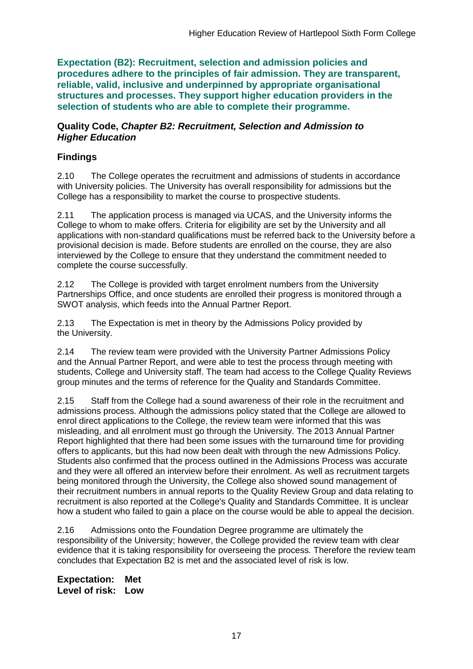**Expectation (B2): Recruitment, selection and admission policies and procedures adhere to the principles of fair admission. They are transparent, reliable, valid, inclusive and underpinned by appropriate organisational structures and processes. They support higher education providers in the selection of students who are able to complete their programme.**

#### **Quality Code,** *Chapter B2: Recruitment, Selection and Admission to Higher Education*

# **Findings**

2.10 The College operates the recruitment and admissions of students in accordance with University policies. The University has overall responsibility for admissions but the College has a responsibility to market the course to prospective students.

2.11 The application process is managed via UCAS, and the University informs the College to whom to make offers. Criteria for eligibility are set by the University and all applications with non-standard qualifications must be referred back to the University before a provisional decision is made. Before students are enrolled on the course, they are also interviewed by the College to ensure that they understand the commitment needed to complete the course successfully.

2.12 The College is provided with target enrolment numbers from the University Partnerships Office, and once students are enrolled their progress is monitored through a SWOT analysis, which feeds into the Annual Partner Report.

2.13 The Expectation is met in theory by the Admissions Policy provided by the University.

2.14 The review team were provided with the University Partner Admissions Policy and the Annual Partner Report, and were able to test the process through meeting with students, College and University staff. The team had access to the College Quality Reviews group minutes and the terms of reference for the Quality and Standards Committee.

2.15 Staff from the College had a sound awareness of their role in the recruitment and admissions process. Although the admissions policy stated that the College are allowed to enrol direct applications to the College, the review team were informed that this was misleading, and all enrolment must go through the University. The 2013 Annual Partner Report highlighted that there had been some issues with the turnaround time for providing offers to applicants, but this had now been dealt with through the new Admissions Policy. Students also confirmed that the process outlined in the Admissions Process was accurate and they were all offered an interview before their enrolment. As well as recruitment targets being monitored through the University, the College also showed sound management of their recruitment numbers in annual reports to the Quality Review Group and data relating to recruitment is also reported at the College's Quality and Standards Committee. It is unclear how a student who failed to gain a place on the course would be able to appeal the decision.

2.16 Admissions onto the Foundation Degree programme are ultimately the responsibility of the University; however, the College provided the review team with clear evidence that it is taking responsibility for overseeing the process. Therefore the review team concludes that Expectation B2 is met and the associated level of risk is low.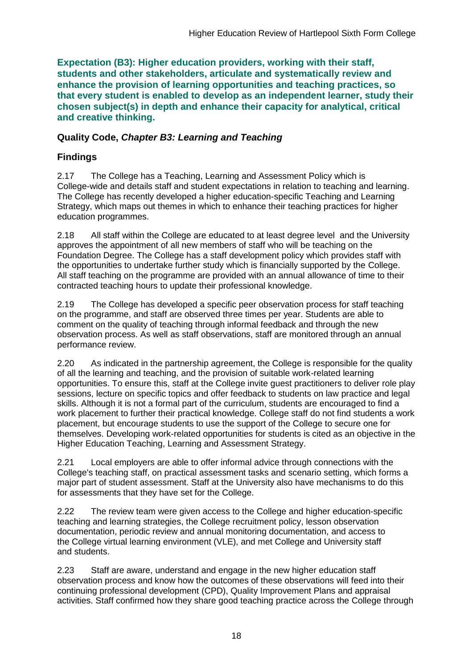**Expectation (B3): Higher education providers, working with their staff, students and other stakeholders, articulate and systematically review and enhance the provision of learning opportunities and teaching practices, so that every student is enabled to develop as an independent learner, study their chosen subject(s) in depth and enhance their capacity for analytical, critical and creative thinking.**

## **Quality Code,** *Chapter B3: Learning and Teaching*

# **Findings**

2.17 The College has a Teaching, Learning and Assessment Policy which is College-wide and details staff and student expectations in relation to teaching and learning. The College has recently developed a higher education-specific Teaching and Learning Strategy, which maps out themes in which to enhance their teaching practices for higher education programmes.

2.18 All staff within the College are educated to at least degree level and the University approves the appointment of all new members of staff who will be teaching on the Foundation Degree. The College has a staff development policy which provides staff with the opportunities to undertake further study which is financially supported by the College. All staff teaching on the programme are provided with an annual allowance of time to their contracted teaching hours to update their professional knowledge.

2.19 The College has developed a specific peer observation process for staff teaching on the programme, and staff are observed three times per year. Students are able to comment on the quality of teaching through informal feedback and through the new observation process. As well as staff observations, staff are monitored through an annual performance review.

2.20 As indicated in the partnership agreement, the College is responsible for the quality of all the learning and teaching, and the provision of suitable work-related learning opportunities. To ensure this, staff at the College invite guest practitioners to deliver role play sessions, lecture on specific topics and offer feedback to students on law practice and legal skills. Although it is not a formal part of the curriculum, students are encouraged to find a work placement to further their practical knowledge. College staff do not find students a work placement, but encourage students to use the support of the College to secure one for themselves. Developing work-related opportunities for students is cited as an objective in the Higher Education Teaching, Learning and Assessment Strategy.

2.21 Local employers are able to offer informal advice through connections with the College's teaching staff, on practical assessment tasks and scenario setting, which forms a major part of student assessment. Staff at the University also have mechanisms to do this for assessments that they have set for the College.

2.22 The review team were given access to the College and higher education-specific teaching and learning strategies, the College recruitment policy, lesson observation documentation, periodic review and annual monitoring documentation, and access to the College virtual learning environment (VLE), and met College and University staff and students.

2.23 Staff are aware, understand and engage in the new higher education staff observation process and know how the outcomes of these observations will feed into their continuing professional development (CPD), Quality Improvement Plans and appraisal activities. Staff confirmed how they share good teaching practice across the College through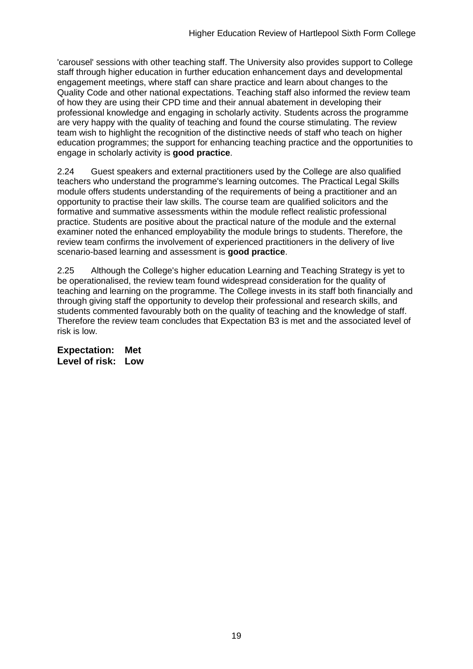'carousel' sessions with other teaching staff. The University also provides support to College staff through higher education in further education enhancement days and developmental engagement meetings, where staff can share practice and learn about changes to the Quality Code and other national expectations. Teaching staff also informed the review team of how they are using their CPD time and their annual abatement in developing their professional knowledge and engaging in scholarly activity. Students across the programme are very happy with the quality of teaching and found the course stimulating. The review team wish to highlight the recognition of the distinctive needs of staff who teach on higher education programmes; the support for enhancing teaching practice and the opportunities to engage in scholarly activity is **good practice**.

2.24 Guest speakers and external practitioners used by the College are also qualified teachers who understand the programme's learning outcomes. The Practical Legal Skills module offers students understanding of the requirements of being a practitioner and an opportunity to practise their law skills. The course team are qualified solicitors and the formative and summative assessments within the module reflect realistic professional practice. Students are positive about the practical nature of the module and the external examiner noted the enhanced employability the module brings to students. Therefore, the review team confirms the involvement of experienced practitioners in the delivery of live scenario-based learning and assessment is **good practice**.

2.25 Although the College's higher education Learning and Teaching Strategy is yet to be operationalised, the review team found widespread consideration for the quality of teaching and learning on the programme. The College invests in its staff both financially and through giving staff the opportunity to develop their professional and research skills, and students commented favourably both on the quality of teaching and the knowledge of staff. Therefore the review team concludes that Expectation B3 is met and the associated level of risk is low.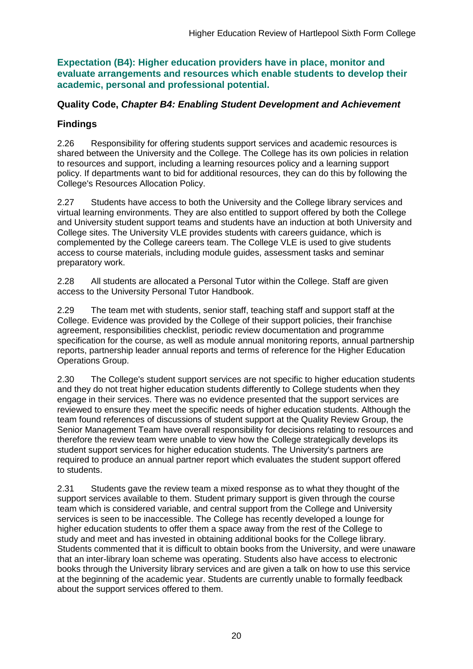**Expectation (B4): Higher education providers have in place, monitor and evaluate arrangements and resources which enable students to develop their academic, personal and professional potential.**

### **Quality Code,** *Chapter B4: Enabling Student Development and Achievement*

# **Findings**

2.26 Responsibility for offering students support services and academic resources is shared between the University and the College. The College has its own policies in relation to resources and support, including a learning resources policy and a learning support policy. If departments want to bid for additional resources, they can do this by following the College's Resources Allocation Policy.

2.27 Students have access to both the University and the College library services and virtual learning environments. They are also entitled to support offered by both the College and University student support teams and students have an induction at both University and College sites. The University VLE provides students with careers guidance, which is complemented by the College careers team. The College VLE is used to give students access to course materials, including module guides, assessment tasks and seminar preparatory work.

2.28 All students are allocated a Personal Tutor within the College. Staff are given access to the University Personal Tutor Handbook.

2.29 The team met with students, senior staff, teaching staff and support staff at the College. Evidence was provided by the College of their support policies, their franchise agreement, responsibilities checklist, periodic review documentation and programme specification for the course, as well as module annual monitoring reports, annual partnership reports, partnership leader annual reports and terms of reference for the Higher Education Operations Group.

2.30 The College's student support services are not specific to higher education students and they do not treat higher education students differently to College students when they engage in their services. There was no evidence presented that the support services are reviewed to ensure they meet the specific needs of higher education students. Although the team found references of discussions of student support at the Quality Review Group, the Senior Management Team have overall responsibility for decisions relating to resources and therefore the review team were unable to view how the College strategically develops its student support services for higher education students. The University's partners are required to produce an annual partner report which evaluates the student support offered to students.

2.31 Students gave the review team a mixed response as to what they thought of the support services available to them. Student primary support is given through the course team which is considered variable, and central support from the College and University services is seen to be inaccessible. The College has recently developed a lounge for higher education students to offer them a space away from the rest of the College to study and meet and has invested in obtaining additional books for the College library. Students commented that it is difficult to obtain books from the University, and were unaware that an inter-library loan scheme was operating. Students also have access to electronic books through the University library services and are given a talk on how to use this service at the beginning of the academic year. Students are currently unable to formally feedback about the support services offered to them.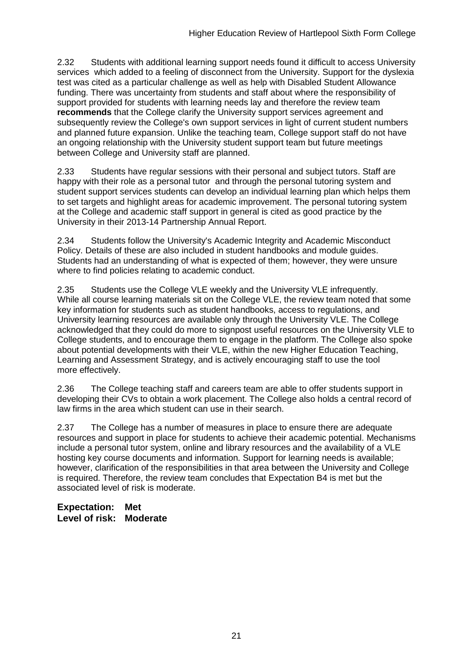2.32 Students with additional learning support needs found it difficult to access University services which added to a feeling of disconnect from the University. Support for the dyslexia test was cited as a particular challenge as well as help with Disabled Student Allowance funding. There was uncertainty from students and staff about where the responsibility of support provided for students with learning needs lay and therefore the review team **recommends** that the College clarify the University support services agreement and subsequently review the College's own support services in light of current student numbers and planned future expansion. Unlike the teaching team, College support staff do not have an ongoing relationship with the University student support team but future meetings between College and University staff are planned.

2.33 Students have regular sessions with their personal and subject tutors. Staff are happy with their role as a personal tutor and through the personal tutoring system and student support services students can develop an individual learning plan which helps them to set targets and highlight areas for academic improvement. The personal tutoring system at the College and academic staff support in general is cited as good practice by the University in their 2013-14 Partnership Annual Report.

2.34 Students follow the University's Academic Integrity and Academic Misconduct Policy. Details of these are also included in student handbooks and module guides. Students had an understanding of what is expected of them; however, they were unsure where to find policies relating to academic conduct.

2.35 Students use the College VLE weekly and the University VLE infrequently. While all course learning materials sit on the College VLE, the review team noted that some key information for students such as student handbooks, access to regulations, and University learning resources are available only through the University VLE. The College acknowledged that they could do more to signpost useful resources on the University VLE to College students, and to encourage them to engage in the platform. The College also spoke about potential developments with their VLE, within the new Higher Education Teaching, Learning and Assessment Strategy, and is actively encouraging staff to use the tool more effectively.

2.36 The College teaching staff and careers team are able to offer students support in developing their CVs to obtain a work placement. The College also holds a central record of law firms in the area which student can use in their search.

2.37 The College has a number of measures in place to ensure there are adequate resources and support in place for students to achieve their academic potential. Mechanisms include a personal tutor system, online and library resources and the availability of a VLE hosting key course documents and information. Support for learning needs is available; however, clarification of the responsibilities in that area between the University and College is required. Therefore, the review team concludes that Expectation B4 is met but the associated level of risk is moderate.

**Expectation: Met Level of risk: Moderate**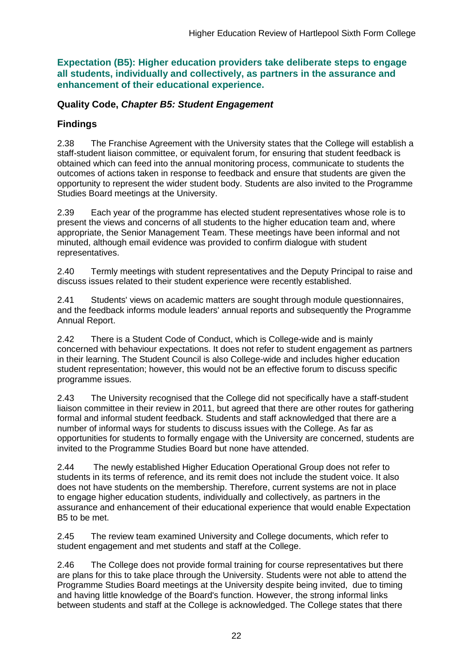**Expectation (B5): Higher education providers take deliberate steps to engage all students, individually and collectively, as partners in the assurance and enhancement of their educational experience.**

## **Quality Code,** *Chapter B5: Student Engagement*

# **Findings**

2.38 The Franchise Agreement with the University states that the College will establish a staff-student liaison committee, or equivalent forum, for ensuring that student feedback is obtained which can feed into the annual monitoring process, communicate to students the outcomes of actions taken in response to feedback and ensure that students are given the opportunity to represent the wider student body. Students are also invited to the Programme Studies Board meetings at the University.

2.39 Each year of the programme has elected student representatives whose role is to present the views and concerns of all students to the higher education team and, where appropriate, the Senior Management Team. These meetings have been informal and not minuted, although email evidence was provided to confirm dialogue with student representatives.

2.40 Termly meetings with student representatives and the Deputy Principal to raise and discuss issues related to their student experience were recently established.

2.41 Students' views on academic matters are sought through module questionnaires, and the feedback informs module leaders' annual reports and subsequently the Programme Annual Report.

2.42 There is a Student Code of Conduct, which is College-wide and is mainly concerned with behaviour expectations. It does not refer to student engagement as partners in their learning. The Student Council is also College-wide and includes higher education student representation; however, this would not be an effective forum to discuss specific programme issues.

2.43 The University recognised that the College did not specifically have a staff-student liaison committee in their review in 2011, but agreed that there are other routes for gathering formal and informal student feedback. Students and staff acknowledged that there are a number of informal ways for students to discuss issues with the College. As far as opportunities for students to formally engage with the University are concerned, students are invited to the Programme Studies Board but none have attended.

2.44 The newly established Higher Education Operational Group does not refer to students in its terms of reference, and its remit does not include the student voice. It also does not have students on the membership. Therefore, current systems are not in place to engage higher education students, individually and collectively, as partners in the assurance and enhancement of their educational experience that would enable Expectation B5 to be met.

2.45 The review team examined University and College documents, which refer to student engagement and met students and staff at the College.

2.46 The College does not provide formal training for course representatives but there are plans for this to take place through the University. Students were not able to attend the Programme Studies Board meetings at the University despite being invited, due to timing and having little knowledge of the Board's function. However, the strong informal links between students and staff at the College is acknowledged. The College states that there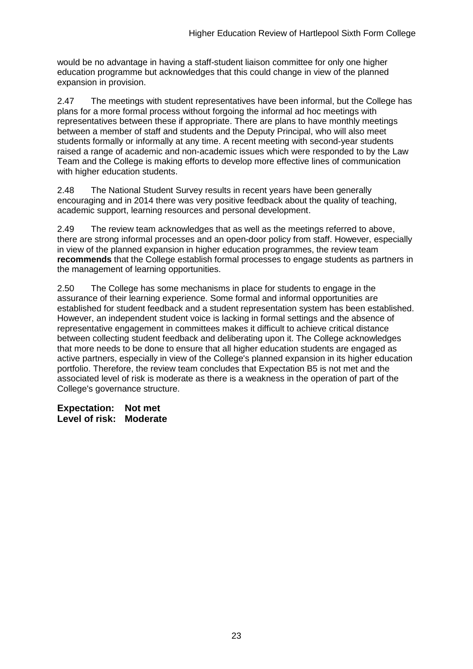would be no advantage in having a staff-student liaison committee for only one higher education programme but acknowledges that this could change in view of the planned expansion in provision.

2.47 The meetings with student representatives have been informal, but the College has plans for a more formal process without forgoing the informal ad hoc meetings with representatives between these if appropriate. There are plans to have monthly meetings between a member of staff and students and the Deputy Principal, who will also meet students formally or informally at any time. A recent meeting with second-year students raised a range of academic and non-academic issues which were responded to by the Law Team and the College is making efforts to develop more effective lines of communication with higher education students.

2.48 The National Student Survey results in recent years have been generally encouraging and in 2014 there was very positive feedback about the quality of teaching, academic support, learning resources and personal development.

2.49 The review team acknowledges that as well as the meetings referred to above, there are strong informal processes and an open-door policy from staff. However, especially in view of the planned expansion in higher education programmes, the review team **recommends** that the College establish formal processes to engage students as partners in the management of learning opportunities.

2.50 The College has some mechanisms in place for students to engage in the assurance of their learning experience. Some formal and informal opportunities are established for student feedback and a student representation system has been established. However, an independent student voice is lacking in formal settings and the absence of representative engagement in committees makes it difficult to achieve critical distance between collecting student feedback and deliberating upon it. The College acknowledges that more needs to be done to ensure that all higher education students are engaged as active partners, especially in view of the College's planned expansion in its higher education portfolio. Therefore, the review team concludes that Expectation B5 is not met and the associated level of risk is moderate as there is a weakness in the operation of part of the College's governance structure.

**Expectation: Not met Level of risk: Moderate**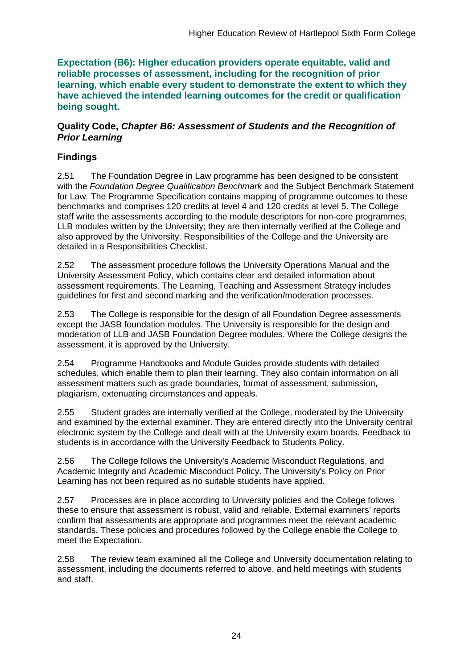**Expectation (B6): Higher education providers operate equitable, valid and reliable processes of assessment, including for the recognition of prior learning, which enable every student to demonstrate the extent to which they have achieved the intended learning outcomes for the credit or qualification being sought.**

### **Quality Code,** *Chapter B6: Assessment of Students and the Recognition of Prior Learning*

# **Findings**

2.51 The Foundation Degree in Law programme has been designed to be consistent with the *Foundation Degree Qualification Benchmark* and the Subject Benchmark Statement for Law. The Programme Specification contains mapping of programme outcomes to these benchmarks and comprises 120 credits at level 4 and 120 credits at level 5. The College staff write the assessments according to the module descriptors for non-core programmes, LLB modules written by the University; they are then internally verified at the College and also approved by the University. Responsibilities of the College and the University are detailed in a Responsibilities Checklist.

2.52 The assessment procedure follows the University Operations Manual and the University Assessment Policy, which contains clear and detailed information about assessment requirements. The Learning, Teaching and Assessment Strategy includes guidelines for first and second marking and the verification/moderation processes.

2.53 The College is responsible for the design of all Foundation Degree assessments except the JASB foundation modules. The University is responsible for the design and moderation of LLB and JASB Foundation Degree modules. Where the College designs the assessment, it is approved by the University.

2.54 Programme Handbooks and Module Guides provide students with detailed schedules, which enable them to plan their learning. They also contain information on all assessment matters such as grade boundaries, format of assessment, submission, plagiarism, extenuating circumstances and appeals.

2.55 Student grades are internally verified at the College, moderated by the University and examined by the external examiner. They are entered directly into the University central electronic system by the College and dealt with at the University exam boards. Feedback to students is in accordance with the University Feedback to Students Policy.

2.56 The College follows the University's Academic Misconduct Regulations, and Academic Integrity and Academic Misconduct Policy. The University's Policy on Prior Learning has not been required as no suitable students have applied.

2.57 Processes are in place according to University policies and the College follows these to ensure that assessment is robust, valid and reliable. External examiners' reports confirm that assessments are appropriate and programmes meet the relevant academic standards. These policies and procedures followed by the College enable the College to meet the Expectation.

2.58 The review team examined all the College and University documentation relating to assessment, including the documents referred to above, and held meetings with students and staff.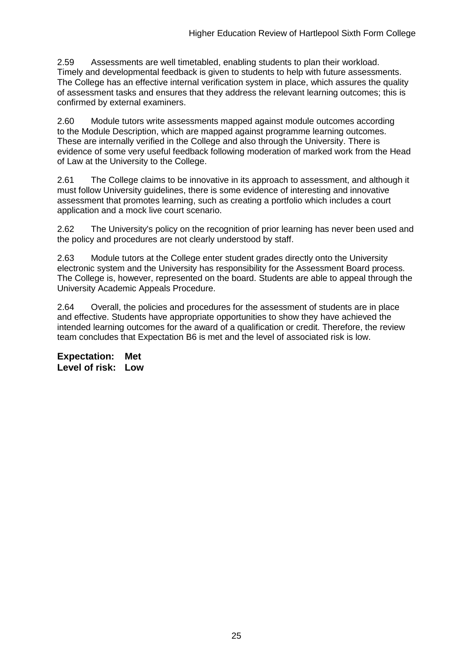2.59 Assessments are well timetabled, enabling students to plan their workload. Timely and developmental feedback is given to students to help with future assessments. The College has an effective internal verification system in place, which assures the quality of assessment tasks and ensures that they address the relevant learning outcomes; this is confirmed by external examiners.

2.60 Module tutors write assessments mapped against module outcomes according to the Module Description, which are mapped against programme learning outcomes. These are internally verified in the College and also through the University. There is evidence of some very useful feedback following moderation of marked work from the Head of Law at the University to the College.

2.61 The College claims to be innovative in its approach to assessment, and although it must follow University guidelines, there is some evidence of interesting and innovative assessment that promotes learning, such as creating a portfolio which includes a court application and a mock live court scenario.

2.62 The University's policy on the recognition of prior learning has never been used and the policy and procedures are not clearly understood by staff.

2.63 Module tutors at the College enter student grades directly onto the University electronic system and the University has responsibility for the Assessment Board process. The College is, however, represented on the board. Students are able to appeal through the University Academic Appeals Procedure.

2.64 Overall, the policies and procedures for the assessment of students are in place and effective. Students have appropriate opportunities to show they have achieved the intended learning outcomes for the award of a qualification or credit. Therefore, the review team concludes that Expectation B6 is met and the level of associated risk is low.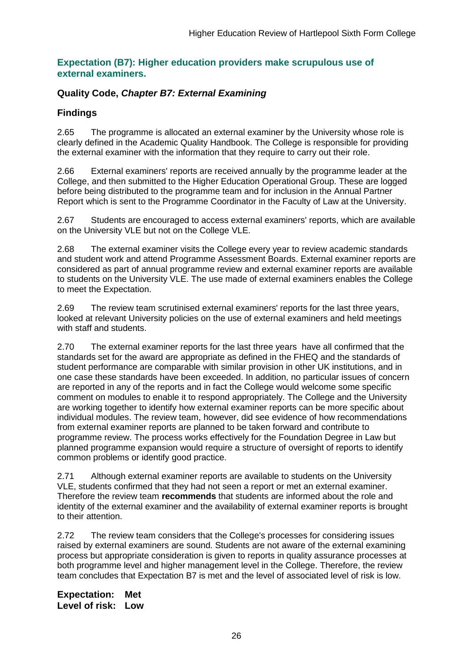#### **Expectation (B7): Higher education providers make scrupulous use of external examiners.**

### **Quality Code,** *Chapter B7: External Examining*

### **Findings**

2.65 The programme is allocated an external examiner by the University whose role is clearly defined in the Academic Quality Handbook. The College is responsible for providing the external examiner with the information that they require to carry out their role.

2.66 External examiners' reports are received annually by the programme leader at the College, and then submitted to the Higher Education Operational Group. These are logged before being distributed to the programme team and for inclusion in the Annual Partner Report which is sent to the Programme Coordinator in the Faculty of Law at the University.

2.67 Students are encouraged to access external examiners' reports, which are available on the University VLE but not on the College VLE.

2.68 The external examiner visits the College every year to review academic standards and student work and attend Programme Assessment Boards. External examiner reports are considered as part of annual programme review and external examiner reports are available to students on the University VLE. The use made of external examiners enables the College to meet the Expectation.

2.69 The review team scrutinised external examiners' reports for the last three years, looked at relevant University policies on the use of external examiners and held meetings with staff and students.

2.70 The external examiner reports for the last three years have all confirmed that the standards set for the award are appropriate as defined in the FHEQ and the standards of student performance are comparable with similar provision in other UK institutions, and in one case these standards have been exceeded. In addition, no particular issues of concern are reported in any of the reports and in fact the College would welcome some specific comment on modules to enable it to respond appropriately. The College and the University are working together to identify how external examiner reports can be more specific about individual modules. The review team, however, did see evidence of how recommendations from external examiner reports are planned to be taken forward and contribute to programme review. The process works effectively for the Foundation Degree in Law but planned programme expansion would require a structure of oversight of reports to identify common problems or identify good practice.

2.71 Although external examiner reports are available to students on the University VLE, students confirmed that they had not seen a report or met an external examiner. Therefore the review team **recommends** that students are informed about the role and identity of the external examiner and the availability of external examiner reports is brought to their attention.

2.72 The review team considers that the College's processes for considering issues raised by external examiners are sound. Students are not aware of the external examining process but appropriate consideration is given to reports in quality assurance processes at both programme level and higher management level in the College. Therefore, the review team concludes that Expectation B7 is met and the level of associated level of risk is low.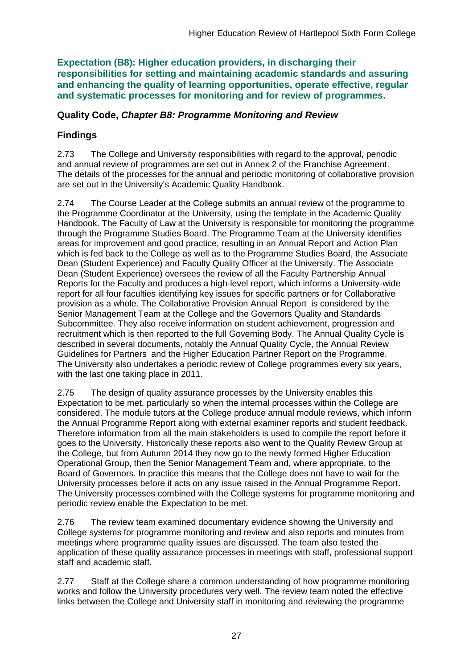**Expectation (B8): Higher education providers, in discharging their responsibilities for setting and maintaining academic standards and assuring and enhancing the quality of learning opportunities, operate effective, regular and systematic processes for monitoring and for review of programmes.**

## **Quality Code,** *Chapter B8: Programme Monitoring and Review*

# **Findings**

2.73 The College and University responsibilities with regard to the approval, periodic and annual review of programmes are set out in Annex 2 of the Franchise Agreement. The details of the processes for the annual and periodic monitoring of collaborative provision are set out in the University's Academic Quality Handbook.

2.74 The Course Leader at the College submits an annual review of the programme to the Programme Coordinator at the University, using the template in the Academic Quality Handbook. The Faculty of Law at the University is responsible for monitoring the programme through the Programme Studies Board. The Programme Team at the University identifies areas for improvement and good practice, resulting in an Annual Report and Action Plan which is fed back to the College as well as to the Programme Studies Board, the Associate Dean (Student Experience) and Faculty Quality Officer at the University. The Associate Dean (Student Experience) oversees the review of all the Faculty Partnership Annual Reports for the Faculty and produces a high-level report, which informs a University-wide report for all four faculties identifying key issues for specific partners or for Collaborative provision as a whole. The Collaborative Provision Annual Report is considered by the Senior Management Team at the College and the Governors Quality and Standards Subcommittee. They also receive information on student achievement, progression and recruitment which is then reported to the full Governing Body. The Annual Quality Cycle is described in several documents, notably the Annual Quality Cycle, the Annual Review Guidelines for Partners and the Higher Education Partner Report on the Programme. The University also undertakes a periodic review of College programmes every six years, with the last one taking place in 2011.

2.75 The design of quality assurance processes by the University enables this Expectation to be met, particularly so when the internal processes within the College are considered. The module tutors at the College produce annual module reviews, which inform the Annual Programme Report along with external examiner reports and student feedback. Therefore information from all the main stakeholders is used to compile the report before it goes to the University. Historically these reports also went to the Quality Review Group at the College, but from Autumn 2014 they now go to the newly formed Higher Education Operational Group, then the Senior Management Team and, where appropriate, to the Board of Governors. In practice this means that the College does not have to wait for the University processes before it acts on any issue raised in the Annual Programme Report. The University processes combined with the College systems for programme monitoring and periodic review enable the Expectation to be met.

2.76 The review team examined documentary evidence showing the University and College systems for programme monitoring and review and also reports and minutes from meetings where programme quality issues are discussed. The team also tested the application of these quality assurance processes in meetings with staff, professional support staff and academic staff.

2.77 Staff at the College share a common understanding of how programme monitoring works and follow the University procedures very well. The review team noted the effective links between the College and University staff in monitoring and reviewing the programme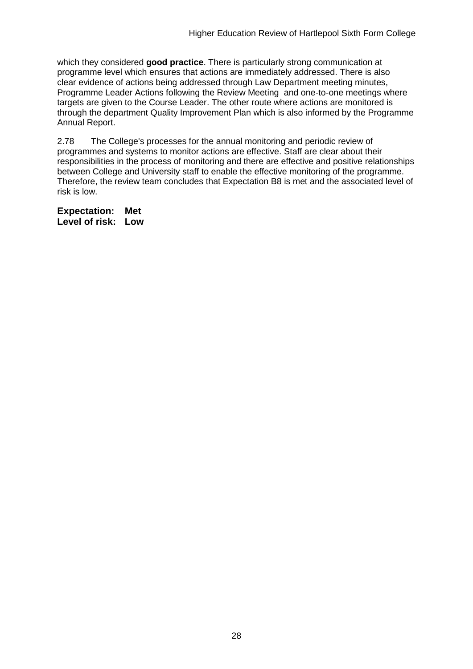which they considered **good practice**. There is particularly strong communication at programme level which ensures that actions are immediately addressed. There is also clear evidence of actions being addressed through Law Department meeting minutes, Programme Leader Actions following the Review Meeting and one-to-one meetings where targets are given to the Course Leader. The other route where actions are monitored is through the department Quality Improvement Plan which is also informed by the Programme Annual Report.

2.78 The College's processes for the annual monitoring and periodic review of programmes and systems to monitor actions are effective. Staff are clear about their responsibilities in the process of monitoring and there are effective and positive relationships between College and University staff to enable the effective monitoring of the programme. Therefore, the review team concludes that Expectation B8 is met and the associated level of risk is low.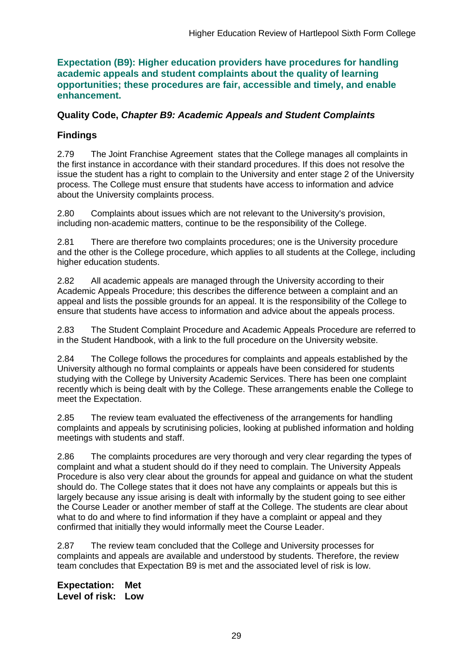**Expectation (B9): Higher education providers have procedures for handling academic appeals and student complaints about the quality of learning opportunities; these procedures are fair, accessible and timely, and enable enhancement.** 

### **Quality Code,** *Chapter B9: Academic Appeals and Student Complaints*

## **Findings**

2.79 The Joint Franchise Agreement states that the College manages all complaints in the first instance in accordance with their standard procedures. If this does not resolve the issue the student has a right to complain to the University and enter stage 2 of the University process. The College must ensure that students have access to information and advice about the University complaints process.

2.80 Complaints about issues which are not relevant to the University's provision, including non-academic matters, continue to be the responsibility of the College.

2.81 There are therefore two complaints procedures; one is the University procedure and the other is the College procedure, which applies to all students at the College, including higher education students.

2.82 All academic appeals are managed through the University according to their Academic Appeals Procedure; this describes the difference between a complaint and an appeal and lists the possible grounds for an appeal. It is the responsibility of the College to ensure that students have access to information and advice about the appeals process.

2.83 The Student Complaint Procedure and Academic Appeals Procedure are referred to in the Student Handbook, with a link to the full procedure on the University website.

2.84 The College follows the procedures for complaints and appeals established by the University although no formal complaints or appeals have been considered for students studying with the College by University Academic Services. There has been one complaint recently which is being dealt with by the College. These arrangements enable the College to meet the Expectation.

2.85 The review team evaluated the effectiveness of the arrangements for handling complaints and appeals by scrutinising policies, looking at published information and holding meetings with students and staff.

2.86 The complaints procedures are very thorough and very clear regarding the types of complaint and what a student should do if they need to complain. The University Appeals Procedure is also very clear about the grounds for appeal and guidance on what the student should do. The College states that it does not have any complaints or appeals but this is largely because any issue arising is dealt with informally by the student going to see either the Course Leader or another member of staff at the College. The students are clear about what to do and where to find information if they have a complaint or appeal and they confirmed that initially they would informally meet the Course Leader.

2.87 The review team concluded that the College and University processes for complaints and appeals are available and understood by students. Therefore, the review team concludes that Expectation B9 is met and the associated level of risk is low.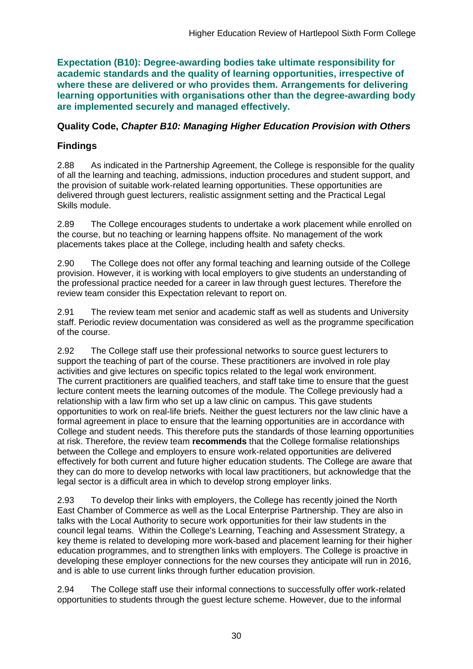**Expectation (B10): Degree-awarding bodies take ultimate responsibility for academic standards and the quality of learning opportunities, irrespective of where these are delivered or who provides them. Arrangements for delivering learning opportunities with organisations other than the degree-awarding body are implemented securely and managed effectively.**

### **Quality Code,** *Chapter B10: Managing Higher Education Provision with Others*

# **Findings**

2.88 As indicated in the Partnership Agreement, the College is responsible for the quality of all the learning and teaching, admissions, induction procedures and student support, and the provision of suitable work-related learning opportunities. These opportunities are delivered through guest lecturers, realistic assignment setting and the Practical Legal Skills module.

2.89 The College encourages students to undertake a work placement while enrolled on the course, but no teaching or learning happens offsite. No management of the work placements takes place at the College, including health and safety checks.

2.90 The College does not offer any formal teaching and learning outside of the College provision. However, it is working with local employers to give students an understanding of the professional practice needed for a career in law through guest lectures. Therefore the review team consider this Expectation relevant to report on.

2.91 The review team met senior and academic staff as well as students and University staff. Periodic review documentation was considered as well as the programme specification of the course.

2.92 The College staff use their professional networks to source guest lecturers to support the teaching of part of the course. These practitioners are involved in role play activities and give lectures on specific topics related to the legal work environment. The current practitioners are qualified teachers, and staff take time to ensure that the guest lecture content meets the learning outcomes of the module. The College previously had a relationship with a law firm who set up a law clinic on campus. This gave students opportunities to work on real-life briefs. Neither the guest lecturers nor the law clinic have a formal agreement in place to ensure that the learning opportunities are in accordance with College and student needs. This therefore puts the standards of those learning opportunities at risk. Therefore, the review team **recommends** that the College formalise relationships between the College and employers to ensure work-related opportunities are delivered effectively for both current and future higher education students. The College are aware that they can do more to develop networks with local law practitioners, but acknowledge that the legal sector is a difficult area in which to develop strong employer links.

2.93 To develop their links with employers, the College has recently joined the North East Chamber of Commerce as well as the Local Enterprise Partnership. They are also in talks with the Local Authority to secure work opportunities for their law students in the council legal teams. Within the College's Learning, Teaching and Assessment Strategy, a key theme is related to developing more work-based and placement learning for their higher education programmes, and to strengthen links with employers. The College is proactive in developing these employer connections for the new courses they anticipate will run in 2016, and is able to use current links through further education provision.

2.94 The College staff use their informal connections to successfully offer work-related opportunities to students through the guest lecture scheme. However, due to the informal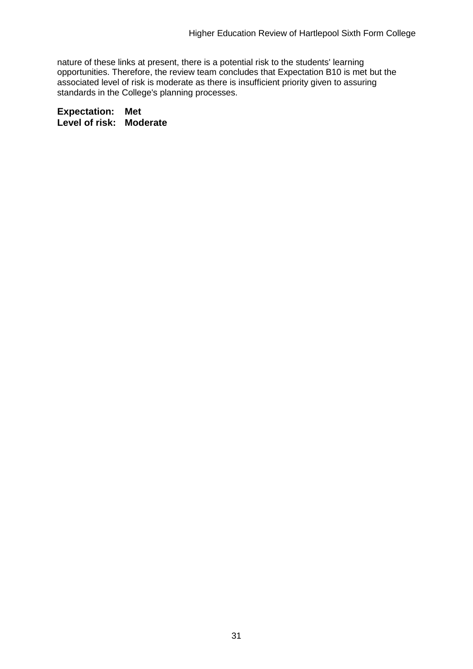nature of these links at present, there is a potential risk to the students' learning opportunities. Therefore, the review team concludes that Expectation B10 is met but the associated level of risk is moderate as there is insufficient priority given to assuring standards in the College's planning processes.

**Expectation: Met Level of risk: Moderate**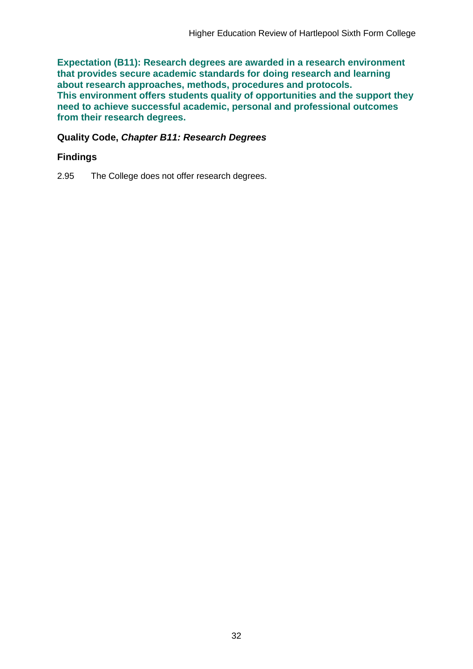**Expectation (B11): Research degrees are awarded in a research environment that provides secure academic standards for doing research and learning about research approaches, methods, procedures and protocols. This environment offers students quality of opportunities and the support they need to achieve successful academic, personal and professional outcomes from their research degrees.**

#### **Quality Code,** *Chapter B11: Research Degrees*

### **Findings**

2.95 The College does not offer research degrees.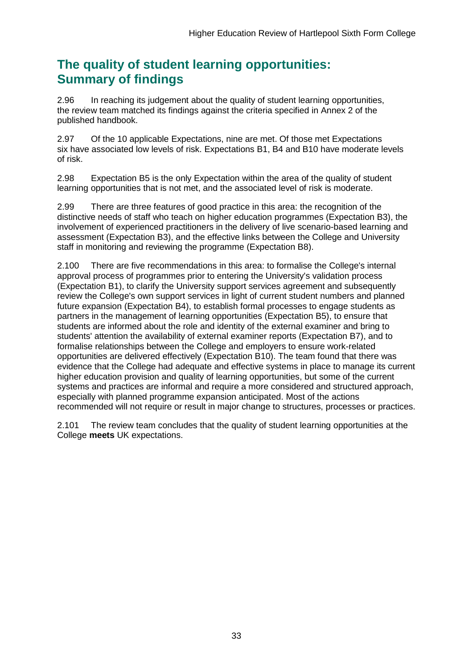# **The quality of student learning opportunities: Summary of findings**

2.96 In reaching its judgement about the quality of student learning opportunities, the review team matched its findings against the criteria specified in Annex 2 of the published handbook.

2.97 Of the 10 applicable Expectations, nine are met. Of those met Expectations six have associated low levels of risk. Expectations B1, B4 and B10 have moderate levels of risk.

2.98 Expectation B5 is the only Expectation within the area of the quality of student learning opportunities that is not met, and the associated level of risk is moderate.

2.99 There are three features of good practice in this area: the recognition of the distinctive needs of staff who teach on higher education programmes (Expectation B3), the involvement of experienced practitioners in the delivery of live scenario-based learning and assessment (Expectation B3), and the effective links between the College and University staff in monitoring and reviewing the programme (Expectation B8).

2.100 There are five recommendations in this area: to formalise the College's internal approval process of programmes prior to entering the University's validation process (Expectation B1), to clarify the University support services agreement and subsequently review the College's own support services in light of current student numbers and planned future expansion (Expectation B4), to establish formal processes to engage students as partners in the management of learning opportunities (Expectation B5), to ensure that students are informed about the role and identity of the external examiner and bring to students' attention the availability of external examiner reports (Expectation B7), and to formalise relationships between the College and employers to ensure work-related opportunities are delivered effectively (Expectation B10). The team found that there was evidence that the College had adequate and effective systems in place to manage its current higher education provision and quality of learning opportunities, but some of the current systems and practices are informal and require a more considered and structured approach, especially with planned programme expansion anticipated. Most of the actions recommended will not require or result in major change to structures, processes or practices.

2.101 The review team concludes that the quality of student learning opportunities at the College **meets** UK expectations.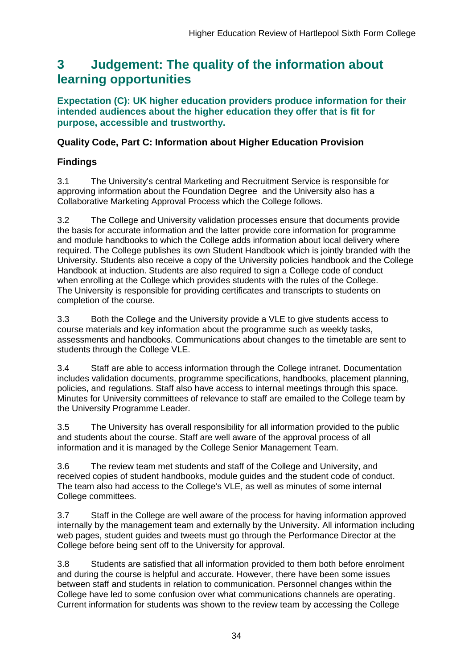# <span id="page-34-0"></span>**3 Judgement: The quality of the information about learning opportunities**

**Expectation (C): UK higher education providers produce information for their intended audiences about the higher education they offer that is fit for purpose, accessible and trustworthy.**

## **Quality Code, Part C: Information about Higher Education Provision**

# **Findings**

3.1 The University's central Marketing and Recruitment Service is responsible for approving information about the Foundation Degree and the University also has a Collaborative Marketing Approval Process which the College follows.

3.2 The College and University validation processes ensure that documents provide the basis for accurate information and the latter provide core information for programme and module handbooks to which the College adds information about local delivery where required. The College publishes its own Student Handbook which is jointly branded with the University. Students also receive a copy of the University policies handbook and the College Handbook at induction. Students are also required to sign a College code of conduct when enrolling at the College which provides students with the rules of the College. The University is responsible for providing certificates and transcripts to students on completion of the course.

3.3 Both the College and the University provide a VLE to give students access to course materials and key information about the programme such as weekly tasks, assessments and handbooks. Communications about changes to the timetable are sent to students through the College VLE.

3.4 Staff are able to access information through the College intranet. Documentation includes validation documents, programme specifications, handbooks, placement planning, policies, and regulations. Staff also have access to internal meetings through this space. Minutes for University committees of relevance to staff are emailed to the College team by the University Programme Leader.

3.5 The University has overall responsibility for all information provided to the public and students about the course. Staff are well aware of the approval process of all information and it is managed by the College Senior Management Team.

3.6 The review team met students and staff of the College and University, and received copies of student handbooks, module guides and the student code of conduct. The team also had access to the College's VLE, as well as minutes of some internal College committees.

3.7 Staff in the College are well aware of the process for having information approved internally by the management team and externally by the University. All information including web pages, student guides and tweets must go through the Performance Director at the College before being sent off to the University for approval.

3.8 Students are satisfied that all information provided to them both before enrolment and during the course is helpful and accurate. However, there have been some issues between staff and students in relation to communication. Personnel changes within the College have led to some confusion over what communications channels are operating. Current information for students was shown to the review team by accessing the College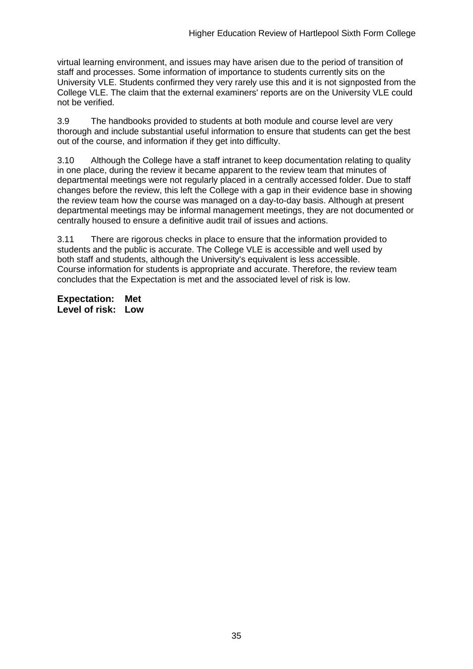virtual learning environment, and issues may have arisen due to the period of transition of staff and processes. Some information of importance to students currently sits on the University VLE. Students confirmed they very rarely use this and it is not signposted from the College VLE. The claim that the external examiners' reports are on the University VLE could not be verified.

3.9 The handbooks provided to students at both module and course level are very thorough and include substantial useful information to ensure that students can get the best out of the course, and information if they get into difficulty.

3.10 Although the College have a staff intranet to keep documentation relating to quality in one place, during the review it became apparent to the review team that minutes of departmental meetings were not regularly placed in a centrally accessed folder. Due to staff changes before the review, this left the College with a gap in their evidence base in showing the review team how the course was managed on a day-to-day basis. Although at present departmental meetings may be informal management meetings, they are not documented or centrally housed to ensure a definitive audit trail of issues and actions.

3.11 There are rigorous checks in place to ensure that the information provided to students and the public is accurate. The College VLE is accessible and well used by both staff and students, although the University's equivalent is less accessible. Course information for students is appropriate and accurate. Therefore, the review team concludes that the Expectation is met and the associated level of risk is low.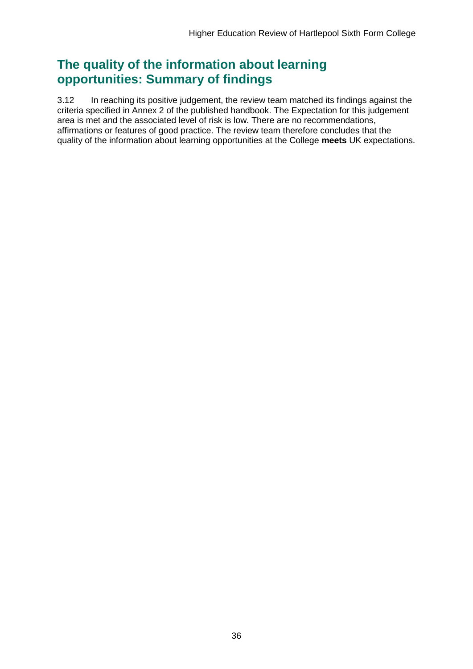# **The quality of the information about learning opportunities: Summary of findings**

3.12 In reaching its positive judgement, the review team matched its findings against the criteria specified in Annex 2 of the published handbook. The Expectation for this judgement area is met and the associated level of risk is low. There are no recommendations, affirmations or features of good practice. The review team therefore concludes that the quality of the information about learning opportunities at the College **meets** UK expectations.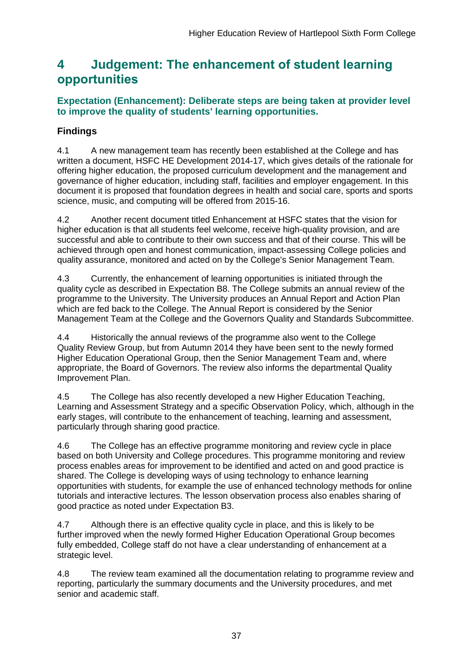# <span id="page-37-0"></span>**4 Judgement: The enhancement of student learning opportunities**

## **Expectation (Enhancement): Deliberate steps are being taken at provider level to improve the quality of students' learning opportunities.**

# **Findings**

4.1 A new management team has recently been established at the College and has written a document, HSFC HE Development 2014-17, which gives details of the rationale for offering higher education, the proposed curriculum development and the management and governance of higher education, including staff, facilities and employer engagement. In this document it is proposed that foundation degrees in health and social care, sports and sports science, music, and computing will be offered from 2015-16.

4.2 Another recent document titled Enhancement at HSFC states that the vision for higher education is that all students feel welcome, receive high-quality provision, and are successful and able to contribute to their own success and that of their course. This will be achieved through open and honest communication, impact-assessing College policies and quality assurance, monitored and acted on by the College's Senior Management Team.

4.3 Currently, the enhancement of learning opportunities is initiated through the quality cycle as described in Expectation B8. The College submits an annual review of the programme to the University. The University produces an Annual Report and Action Plan which are fed back to the College. The Annual Report is considered by the Senior Management Team at the College and the Governors Quality and Standards Subcommittee.

4.4 Historically the annual reviews of the programme also went to the College Quality Review Group, but from Autumn 2014 they have been sent to the newly formed Higher Education Operational Group, then the Senior Management Team and, where appropriate, the Board of Governors. The review also informs the departmental Quality Improvement Plan.

4.5 The College has also recently developed a new Higher Education Teaching, Learning and Assessment Strategy and a specific Observation Policy, which, although in the early stages, will contribute to the enhancement of teaching, learning and assessment, particularly through sharing good practice.

4.6 The College has an effective programme monitoring and review cycle in place based on both University and College procedures. This programme monitoring and review process enables areas for improvement to be identified and acted on and good practice is shared. The College is developing ways of using technology to enhance learning opportunities with students, for example the use of enhanced technology methods for online tutorials and interactive lectures. The lesson observation process also enables sharing of good practice as noted under Expectation B3.

4.7 Although there is an effective quality cycle in place, and this is likely to be further improved when the newly formed Higher Education Operational Group becomes fully embedded, College staff do not have a clear understanding of enhancement at a strategic level.

4.8 The review team examined all the documentation relating to programme review and reporting, particularly the summary documents and the University procedures, and met senior and academic staff.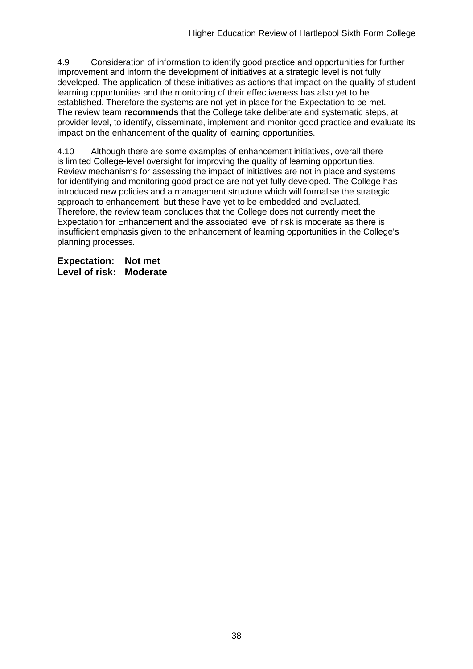4.9 Consideration of information to identify good practice and opportunities for further improvement and inform the development of initiatives at a strategic level is not fully developed. The application of these initiatives as actions that impact on the quality of student learning opportunities and the monitoring of their effectiveness has also yet to be established. Therefore the systems are not yet in place for the Expectation to be met. The review team **recommends** that the College take deliberate and systematic steps, at provider level, to identify, disseminate, implement and monitor good practice and evaluate its impact on the enhancement of the quality of learning opportunities.

4.10 Although there are some examples of enhancement initiatives, overall there is limited College-level oversight for improving the quality of learning opportunities. Review mechanisms for assessing the impact of initiatives are not in place and systems for identifying and monitoring good practice are not yet fully developed. The College has introduced new policies and a management structure which will formalise the strategic approach to enhancement, but these have yet to be embedded and evaluated. Therefore, the review team concludes that the College does not currently meet the Expectation for Enhancement and the associated level of risk is moderate as there is insufficient emphasis given to the enhancement of learning opportunities in the College's planning processes.

**Expectation: Not met Level of risk: Moderate**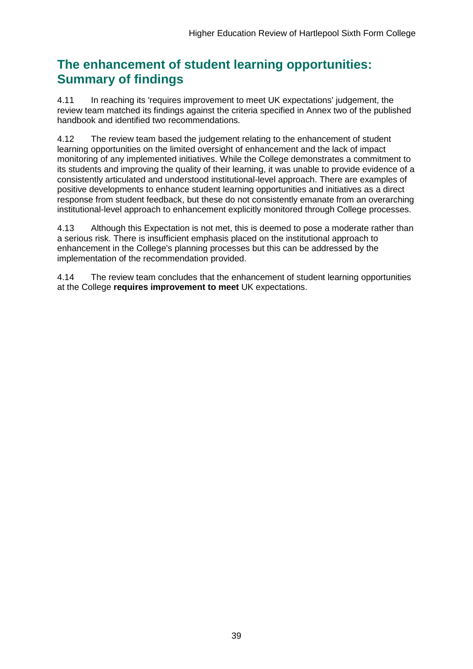# **The enhancement of student learning opportunities: Summary of findings**

4.11 In reaching its 'requires improvement to meet UK expectations' judgement, the review team matched its findings against the criteria specified in Annex two of the published handbook and identified two recommendations.

4.12 The review team based the judgement relating to the enhancement of student learning opportunities on the limited oversight of enhancement and the lack of impact monitoring of any implemented initiatives. While the College demonstrates a commitment to its students and improving the quality of their learning, it was unable to provide evidence of a consistently articulated and understood institutional-level approach. There are examples of positive developments to enhance student learning opportunities and initiatives as a direct response from student feedback, but these do not consistently emanate from an overarching institutional-level approach to enhancement explicitly monitored through College processes.

4.13 Although this Expectation is not met, this is deemed to pose a moderate rather than a serious risk. There is insufficient emphasis placed on the institutional approach to enhancement in the College's planning processes but this can be addressed by the implementation of the recommendation provided.

4.14 The review team concludes that the enhancement of student learning opportunities at the College **requires improvement to meet** UK expectations.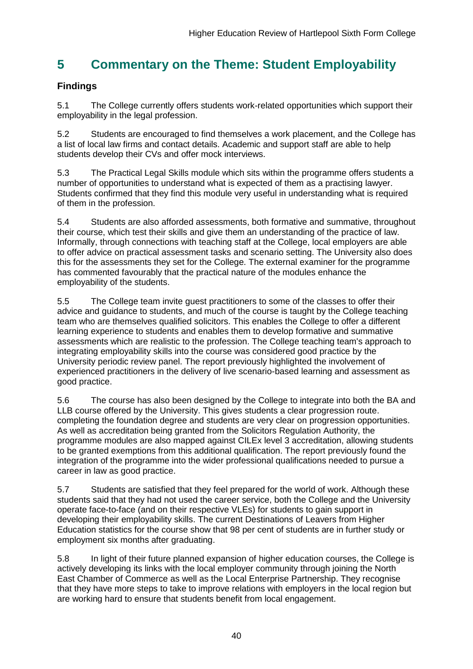# <span id="page-40-0"></span>**5 Commentary on the Theme: Student Employability**

# **Findings**

5.1 The College currently offers students work-related opportunities which support their employability in the legal profession.

5.2 Students are encouraged to find themselves a work placement, and the College has a list of local law firms and contact details. Academic and support staff are able to help students develop their CVs and offer mock interviews.

5.3 The Practical Legal Skills module which sits within the programme offers students a number of opportunities to understand what is expected of them as a practising lawyer. Students confirmed that they find this module very useful in understanding what is required of them in the profession.

5.4 Students are also afforded assessments, both formative and summative, throughout their course, which test their skills and give them an understanding of the practice of law. Informally, through connections with teaching staff at the College, local employers are able to offer advice on practical assessment tasks and scenario setting. The University also does this for the assessments they set for the College. The external examiner for the programme has commented favourably that the practical nature of the modules enhance the employability of the students.

5.5 The College team invite guest practitioners to some of the classes to offer their advice and guidance to students, and much of the course is taught by the College teaching team who are themselves qualified solicitors. This enables the College to offer a different learning experience to students and enables them to develop formative and summative assessments which are realistic to the profession. The College teaching team's approach to integrating employability skills into the course was considered good practice by the University periodic review panel. The report previously highlighted the involvement of experienced practitioners in the delivery of live scenario-based learning and assessment as good practice.

5.6 The course has also been designed by the College to integrate into both the BA and LLB course offered by the University. This gives students a clear progression route. completing the foundation degree and students are very clear on progression opportunities. As well as accreditation being granted from the Solicitors Regulation Authority, the programme modules are also mapped against CILEx level 3 accreditation, allowing students to be granted exemptions from this additional qualification. The report previously found the integration of the programme into the wider professional qualifications needed to pursue a career in law as good practice.

5.7 Students are satisfied that they feel prepared for the world of work. Although these students said that they had not used the career service, both the College and the University operate face-to-face (and on their respective VLEs) for students to gain support in developing their employability skills. The current Destinations of Leavers from Higher Education statistics for the course show that 98 per cent of students are in further study or employment six months after graduating.

5.8 In light of their future planned expansion of higher education courses, the College is actively developing its links with the local employer community through joining the North East Chamber of Commerce as well as the Local Enterprise Partnership. They recognise that they have more steps to take to improve relations with employers in the local region but are working hard to ensure that students benefit from local engagement.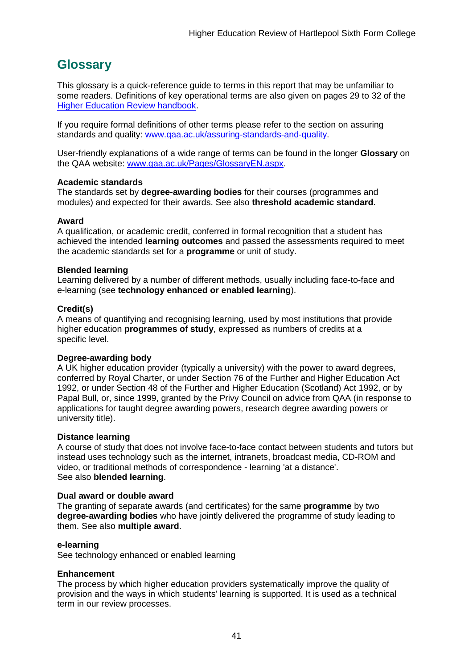# <span id="page-41-0"></span>**Glossary**

This glossary is a quick-reference guide to terms in this report that may be unfamiliar to some readers. Definitions of key operational terms are also given on pages 29 to 32 of the [Higher Education Review handbook.](http://www.qaa.ac.uk/publications/information-and-guidance/publication?PubID=2672)

If you require formal definitions of other terms please refer to the section on assuring standards and quality: [www.qaa.ac.uk/assuring-standards-and-quality.](http://www.qaa.ac.uk/assuring-standards-and-quality)

User-friendly explanations of a wide range of terms can be found in the longer **Glossary** on the QAA website: [www.qaa.ac.uk/Pages/GlossaryEN.aspx.](http://www.qaa.ac.uk/Pages/GlossaryEN.aspx)

#### **Academic standards**

The standards set by **degree-awarding bodies** for their courses (programmes and modules) and expected for their awards. See also **threshold academic standard**.

#### **Award**

A qualification, or academic credit, conferred in formal recognition that a student has achieved the intended **learning outcomes** and passed the assessments required to meet the academic standards set for a **programme** or unit of study.

#### **Blended learning**

Learning delivered by a number of different methods, usually including face-to-face and e-learning (see **[technology enhanced or enabled learning](http://www.qaa.ac.uk/AboutUs/glossary/Pages/glossary-t.aspx#t1)**).

#### **Credit(s)**

A means of quantifying and recognising learning, used by most institutions that provide higher education **programmes of study**, expressed as numbers of credits at a specific level.

#### **Degree-awarding body**

A UK [higher education provider](http://newlive.qaa.ac.uk/AboutUs/glossary/Pages/glossary-h.aspx#h2.1) (typically a [university\)](http://newlive.qaa.ac.uk/AboutUs/glossary/Pages/glossary-u-z.aspx#u4) with the power to award degrees, conferred by Royal Charter, or under Section 76 of the Further and Higher Education Act 1992, or under Section 48 of the Further and Higher Education (Scotland) Act 1992, or by Papal Bull, or, since 1999, granted by the Privy Council on advice from QAA (in response to applications for [taught degree awarding powers, research degree awarding powers or](http://newlive.qaa.ac.uk/AboutUs/DAP/Pages/default.aspx)  [university title\)](http://newlive.qaa.ac.uk/AboutUs/DAP/Pages/default.aspx).

#### **Distance learning**

A course of study that does not involve face-to-face contact between students and tutors but instead uses technology such as the internet, intranets, broadcast media, CD-ROM and video, or traditional methods of correspondence - learning 'at a distance'. See also **blended learning**.

#### **Dual award or double award**

The granting of separate awards (and certificates) for the same **programme** by two **degree-awarding bodies** who have jointly delivered the programme of study leading to them. See also **multiple award**.

#### **e-learning**

See technology enhanced or enabled learning

#### **Enhancement**

The process by which [higher education providers](http://www.qaa.ac.uk/AboutUs/glossary/Pages/glossary-h.aspx#h2.1) systematically improve the quality of provision and the ways in which students' learning is supported. It is used as a technical term in our review processes.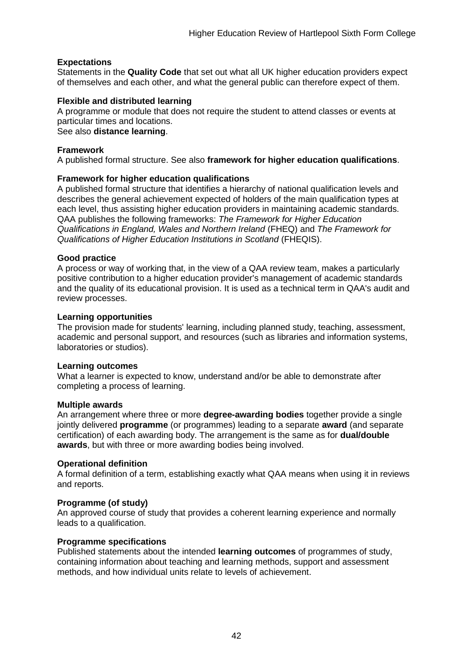#### **Expectations**

Statements in the **Quality Code** that set out what all UK [higher education providers](http://newlive.qaa.ac.uk/AboutUs/glossary/Pages/glossary-h.aspx#h2.1) expect of themselves and each other, and what the general public can therefore expect of them.

#### **Flexible and distributed learning**

A [programme](http://newlive.qaa.ac.uk/AboutUs/glossary/Pages/glossary-p.aspx#p12) or [module](http://newlive.qaa.ac.uk/AboutUs/glossary/Pages/glossary-m-o.aspx#m6) that does not require the student to attend classes or events at particular times and locations.

See also **distance learning**.

#### **Framework**

A published formal structure. See also **framework for higher education qualifications**.

#### **Framework for higher education qualifications**

A published formal structure that identifies a hierarchy of national qualification levels and describes the general achievement expected of holders of the main qualification types at each level, thus assisting higher education providers in maintaining academic standards. QAA publishes the following frameworks: *The Framework for Higher Education Qualifications in England, Wales and Northern Ireland* (FHEQ) and *The Framework for Qualifications of Higher Education Institutions in Scotland* (FHEQIS).

#### **Good practice**

A process or way of working that, in the view of a QAA review team, makes a particularly positive contribution to a higher education provider's management of academic standards and the quality of its educational provision. It is used as a technical term in QAA's audit and review processes.

#### **Learning opportunities**

The provision made for students' learning, including planned study, teaching, assessment, academic and personal support, and resources (such as libraries and information systems, laboratories or studios).

#### **Learning outcomes**

What a learner is expected to know, understand and/or be able to demonstrate after completing a process of learning.

#### **Multiple awards**

An arrangement where three or more **degree-awarding bodies** together provide a single jointly delivered **programme** (or programmes) leading to a separate **award** (and separate certification) of each awarding body. The arrangement is the same as for **dual/double awards**, but with three or more awarding bodies being involved.

#### **Operational definition**

A formal definition of a term, establishing exactly what QAA means when using it in reviews and reports.

#### **Programme (of study)**

An approved course of study that provides a coherent learning experience and normally leads to a qualification.

#### **Programme specifications**

Published statements about the intended **learning outcomes** of programmes of study, containing information about teaching and learning methods, support and assessment methods, and how individual units relate to levels of achievement.